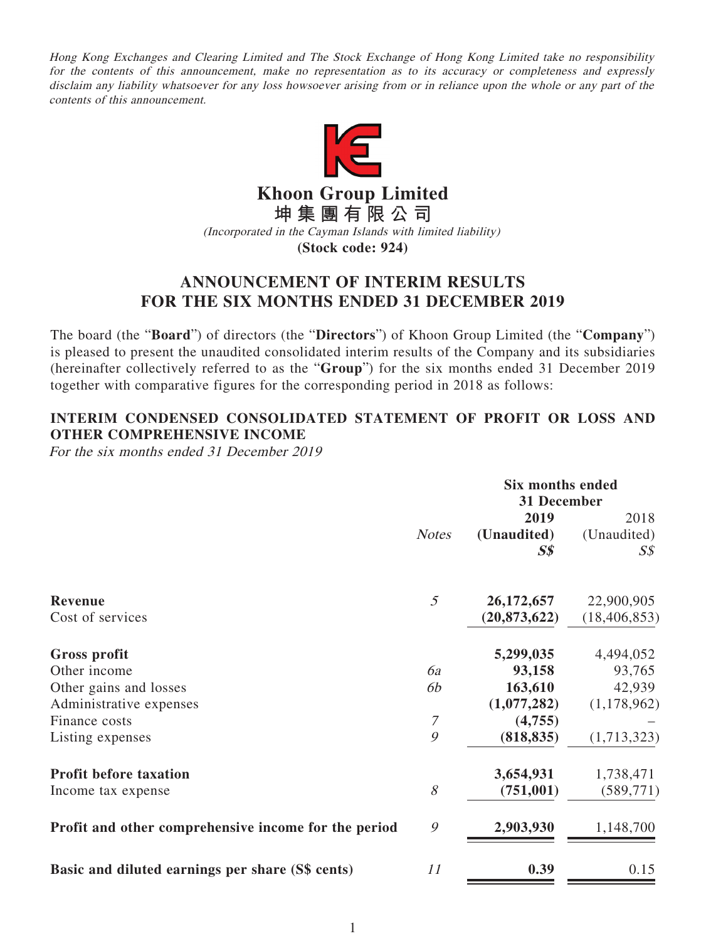Hong Kong Exchanges and Clearing Limited and The Stock Exchange of Hong Kong Limited take no responsibility for the contents of this announcement, make no representation as to its accuracy or completeness and expressly disclaim any liability whatsoever for any loss howsoever arising from or in reliance upon the whole or any part of the contents of this announcement.



**Khoon Group Limited**

**坤集團有限公司**

(Incorporated in the Cayman Islands with limited liability)

**(Stock code: 924)**

# **ANNOUNCEMENT OF INTERIM RESULTS FOR THE SIX MONTHS ENDED 31 DECEMBER 2019**

The board (the "**Board**") of directors (the "**Directors**") of Khoon Group Limited (the "**Company**") is pleased to present the unaudited consolidated interim results of the Company and its subsidiaries (hereinafter collectively referred to as the "**Group**") for the six months ended 31 December 2019 together with comparative figures for the corresponding period in 2018 as follows:

# **INTERIM CONDENSED CONSOLIDATED STATEMENT OF PROFIT OR LOSS AND OTHER COMPREHENSIVE INCOME**

For the six months ended 31 December 2019

|                                                      | <b>Six months ended</b> |                |                |
|------------------------------------------------------|-------------------------|----------------|----------------|
|                                                      |                         | 31 December    |                |
|                                                      |                         | 2019           | 2018           |
|                                                      | <b>Notes</b>            | (Unaudited)    | (Unaudited)    |
|                                                      |                         | $S\$           | $S\mathcal{S}$ |
| Revenue                                              | 5                       | 26, 172, 657   | 22,900,905     |
| Cost of services                                     |                         | (20, 873, 622) | (18, 406, 853) |
| <b>Gross profit</b>                                  |                         | 5,299,035      | 4,494,052      |
| Other income                                         | 6a                      | 93,158         | 93,765         |
| Other gains and losses                               | 6b                      | 163,610        | 42,939         |
| Administrative expenses                              |                         | (1,077,282)    | (1,178,962)    |
| Finance costs                                        | 7                       | (4,755)        |                |
| Listing expenses                                     | 9                       | (818, 835)     | (1,713,323)    |
| <b>Profit before taxation</b>                        |                         | 3,654,931      | 1,738,471      |
| Income tax expense                                   | 8                       | (751,001)      | (589, 771)     |
| Profit and other comprehensive income for the period | 9                       | 2,903,930      | 1,148,700      |
| Basic and diluted earnings per share (S\$ cents)     | 11                      | 0.39           | 0.15           |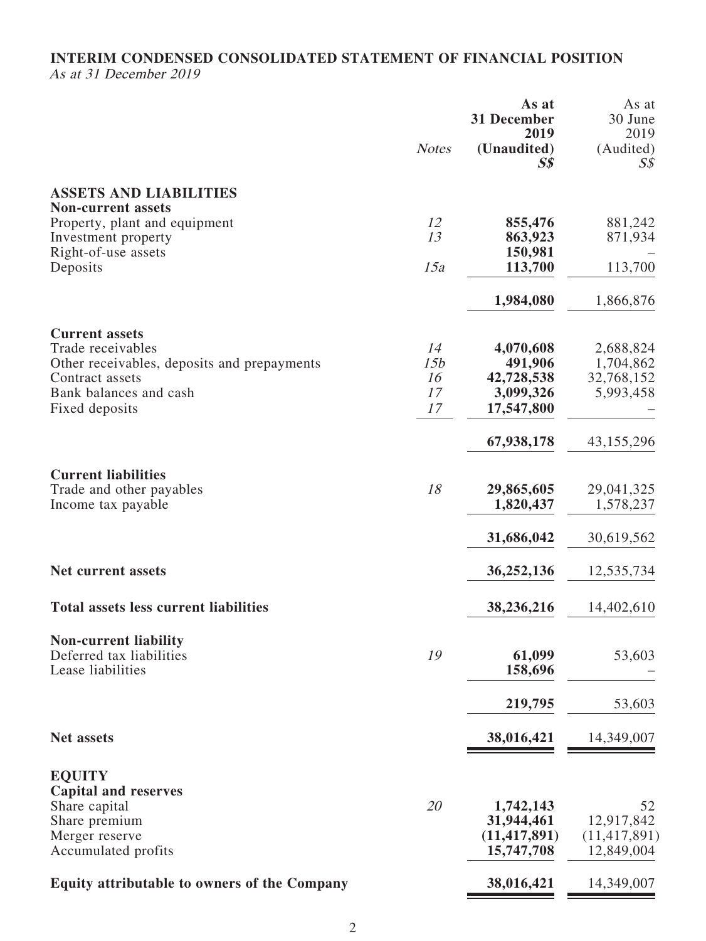# **INTERIM CONDENSED CONSOLIDATED STATEMENT OF FINANCIAL POSITION** As at 31 December 2019

|                                                                                                                                                          | <b>Notes</b>                | As at<br>31 December<br>2019<br>(Unaudited)<br>S\$            | As at<br>30 June<br>2019<br>(Audited)<br>$S\mathcal{S}$ |
|----------------------------------------------------------------------------------------------------------------------------------------------------------|-----------------------------|---------------------------------------------------------------|---------------------------------------------------------|
| <b>ASSETS AND LIABILITIES</b>                                                                                                                            |                             |                                                               |                                                         |
| <b>Non-current assets</b><br>Property, plant and equipment<br>Investment property<br>Right-of-use assets                                                 | 12<br>13                    | 855,476<br>863,923<br>150,981                                 | 881,242<br>871,934                                      |
| Deposits                                                                                                                                                 | 15a                         | 113,700                                                       | 113,700                                                 |
|                                                                                                                                                          |                             | 1,984,080                                                     | 1,866,876                                               |
| <b>Current assets</b><br>Trade receivables<br>Other receivables, deposits and prepayments<br>Contract assets<br>Bank balances and cash<br>Fixed deposits | 14<br>15b<br>16<br>17<br>17 | 4,070,608<br>491,906<br>42,728,538<br>3,099,326<br>17,547,800 | 2,688,824<br>1,704,862<br>32,768,152<br>5,993,458       |
|                                                                                                                                                          |                             | 67,938,178                                                    | 43,155,296                                              |
| <b>Current liabilities</b><br>Trade and other payables<br>Income tax payable                                                                             | 18                          | 29,865,605<br>1,820,437<br>31,686,042                         | 29,041,325<br>1,578,237<br>30,619,562                   |
| <b>Net current assets</b>                                                                                                                                |                             | 36,252,136                                                    | 12,535,734                                              |
| <b>Total assets less current liabilities</b>                                                                                                             |                             | 38,236,216                                                    | 14,402,610                                              |
| <b>Non-current liability</b><br>Deferred tax liabilities<br>Lease liabilities                                                                            | 19                          | 61,099<br>158,696                                             | 53,603                                                  |
|                                                                                                                                                          |                             | 219,795                                                       | 53,603                                                  |
| <b>Net assets</b>                                                                                                                                        |                             | 38,016,421                                                    | 14,349,007                                              |
| <b>EQUITY</b><br><b>Capital and reserves</b><br>Share capital<br>Share premium<br>Merger reserve<br>Accumulated profits                                  | 20                          | 1,742,143<br>31,944,461<br>(11, 417, 891)<br>15,747,708       | 52<br>12,917,842<br>(11, 417, 891)<br>12,849,004        |
| <b>Equity attributable to owners of the Company</b>                                                                                                      |                             | 38,016,421                                                    | 14,349,007                                              |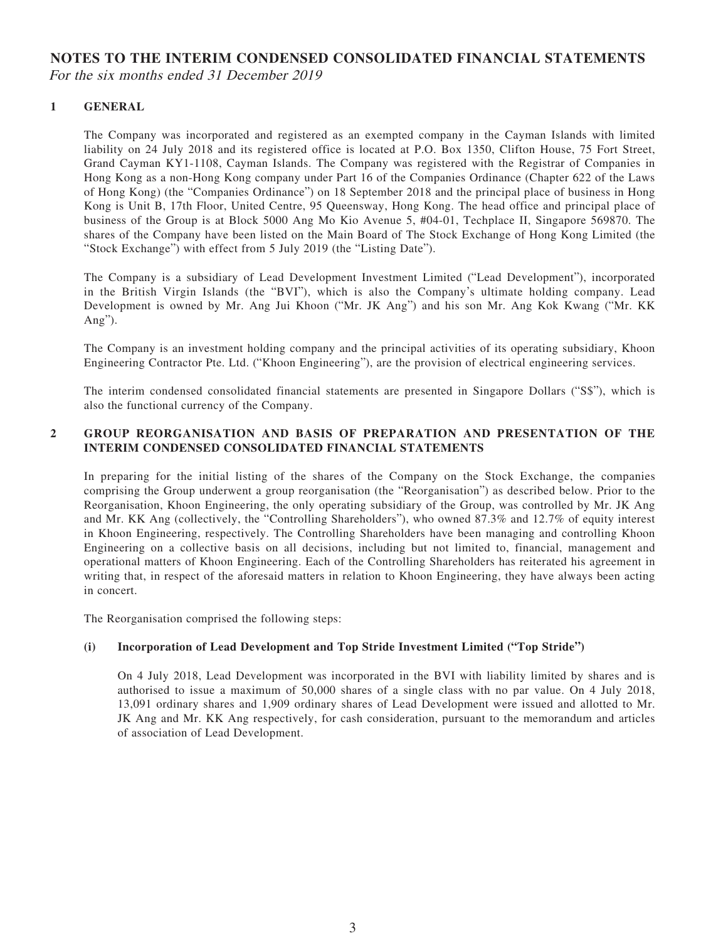## **NOTES TO THE INTERIM CONDENSED CONSOLIDATED FINANCIAL STATEMENTS** For the six months ended 31 December 2019

### **1 GENERAL**

The Company was incorporated and registered as an exempted company in the Cayman Islands with limited liability on 24 July 2018 and its registered office is located at P.O. Box 1350, Clifton House, 75 Fort Street, Grand Cayman KY1-1108, Cayman Islands. The Company was registered with the Registrar of Companies in Hong Kong as a non-Hong Kong company under Part 16 of the Companies Ordinance (Chapter 622 of the Laws of Hong Kong) (the "Companies Ordinance") on 18 September 2018 and the principal place of business in Hong Kong is Unit B, 17th Floor, United Centre, 95 Queensway, Hong Kong. The head office and principal place of business of the Group is at Block 5000 Ang Mo Kio Avenue 5, #04-01, Techplace II, Singapore 569870. The shares of the Company have been listed on the Main Board of The Stock Exchange of Hong Kong Limited (the "Stock Exchange") with effect from 5 July 2019 (the "Listing Date").

The Company is a subsidiary of Lead Development Investment Limited ("Lead Development"), incorporated in the British Virgin Islands (the "BVI"), which is also the Company's ultimate holding company. Lead Development is owned by Mr. Ang Jui Khoon ("Mr. JK Ang") and his son Mr. Ang Kok Kwang ("Mr. KK Ang").

The Company is an investment holding company and the principal activities of its operating subsidiary, Khoon Engineering Contractor Pte. Ltd. ("Khoon Engineering"), are the provision of electrical engineering services.

The interim condensed consolidated financial statements are presented in Singapore Dollars ("S\$"), which is also the functional currency of the Company.

### **2 GROUP REORGANISATION AND BASIS OF PREPARATION AND PRESENTATION OF THE INTERIM CONDENSED CONSOLIDATED FINANCIAL STATEMENTS**

In preparing for the initial listing of the shares of the Company on the Stock Exchange, the companies comprising the Group underwent a group reorganisation (the "Reorganisation") as described below. Prior to the Reorganisation, Khoon Engineering, the only operating subsidiary of the Group, was controlled by Mr. JK Ang and Mr. KK Ang (collectively, the "Controlling Shareholders"), who owned 87.3% and 12.7% of equity interest in Khoon Engineering, respectively. The Controlling Shareholders have been managing and controlling Khoon Engineering on a collective basis on all decisions, including but not limited to, financial, management and operational matters of Khoon Engineering. Each of the Controlling Shareholders has reiterated his agreement in writing that, in respect of the aforesaid matters in relation to Khoon Engineering, they have always been acting in concert.

The Reorganisation comprised the following steps:

### **(i) Incorporation of Lead Development and Top Stride Investment Limited ("Top Stride")**

On 4 July 2018, Lead Development was incorporated in the BVI with liability limited by shares and is authorised to issue a maximum of 50,000 shares of a single class with no par value. On 4 July 2018, 13,091 ordinary shares and 1,909 ordinary shares of Lead Development were issued and allotted to Mr. JK Ang and Mr. KK Ang respectively, for cash consideration, pursuant to the memorandum and articles of association of Lead Development.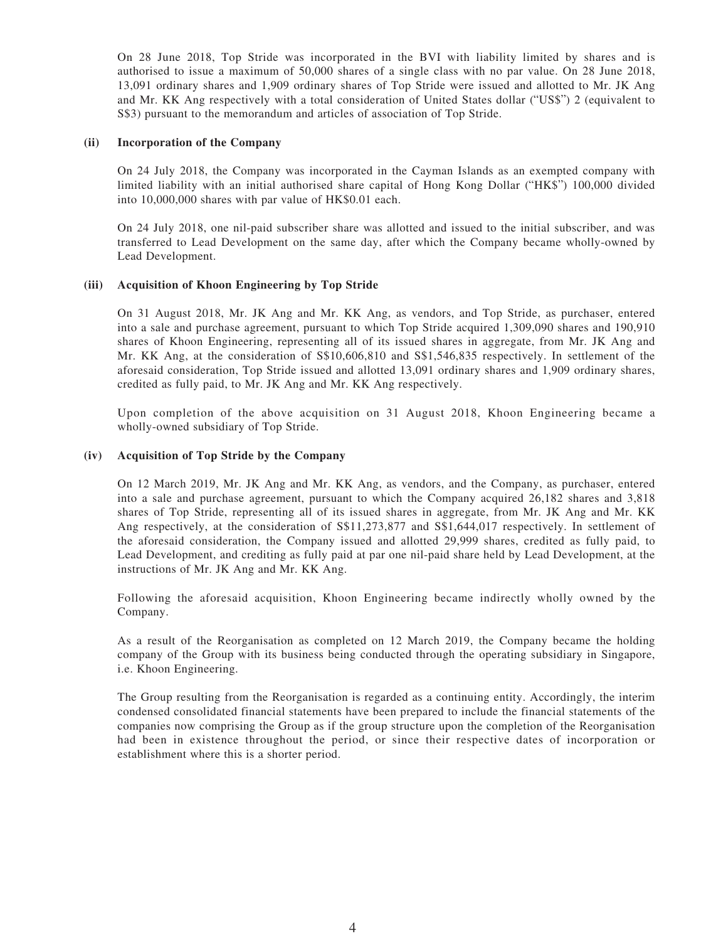On 28 June 2018, Top Stride was incorporated in the BVI with liability limited by shares and is authorised to issue a maximum of 50,000 shares of a single class with no par value. On 28 June 2018, 13,091 ordinary shares and 1,909 ordinary shares of Top Stride were issued and allotted to Mr. JK Ang and Mr. KK Ang respectively with a total consideration of United States dollar ("US\$") 2 (equivalent to S\$3) pursuant to the memorandum and articles of association of Top Stride.

#### **(ii) Incorporation of the Company**

On 24 July 2018, the Company was incorporated in the Cayman Islands as an exempted company with limited liability with an initial authorised share capital of Hong Kong Dollar ("HK\$") 100,000 divided into 10,000,000 shares with par value of HK\$0.01 each.

On 24 July 2018, one nil-paid subscriber share was allotted and issued to the initial subscriber, and was transferred to Lead Development on the same day, after which the Company became wholly-owned by Lead Development.

### **(iii) Acquisition of Khoon Engineering by Top Stride**

On 31 August 2018, Mr. JK Ang and Mr. KK Ang, as vendors, and Top Stride, as purchaser, entered into a sale and purchase agreement, pursuant to which Top Stride acquired 1,309,090 shares and 190,910 shares of Khoon Engineering, representing all of its issued shares in aggregate, from Mr. JK Ang and Mr. KK Ang, at the consideration of S\$10,606,810 and S\$1,546,835 respectively. In settlement of the aforesaid consideration, Top Stride issued and allotted 13,091 ordinary shares and 1,909 ordinary shares, credited as fully paid, to Mr. JK Ang and Mr. KK Ang respectively.

Upon completion of the above acquisition on 31 August 2018, Khoon Engineering became a wholly-owned subsidiary of Top Stride.

#### **(iv) Acquisition of Top Stride by the Company**

On 12 March 2019, Mr. JK Ang and Mr. KK Ang, as vendors, and the Company, as purchaser, entered into a sale and purchase agreement, pursuant to which the Company acquired 26,182 shares and 3,818 shares of Top Stride, representing all of its issued shares in aggregate, from Mr. JK Ang and Mr. KK Ang respectively, at the consideration of S\$11,273,877 and S\$1,644,017 respectively. In settlement of the aforesaid consideration, the Company issued and allotted 29,999 shares, credited as fully paid, to Lead Development, and crediting as fully paid at par one nil-paid share held by Lead Development, at the instructions of Mr. JK Ang and Mr. KK Ang.

Following the aforesaid acquisition, Khoon Engineering became indirectly wholly owned by the Company.

As a result of the Reorganisation as completed on 12 March 2019, the Company became the holding company of the Group with its business being conducted through the operating subsidiary in Singapore, i.e. Khoon Engineering.

The Group resulting from the Reorganisation is regarded as a continuing entity. Accordingly, the interim condensed consolidated financial statements have been prepared to include the financial statements of the companies now comprising the Group as if the group structure upon the completion of the Reorganisation had been in existence throughout the period, or since their respective dates of incorporation or establishment where this is a shorter period.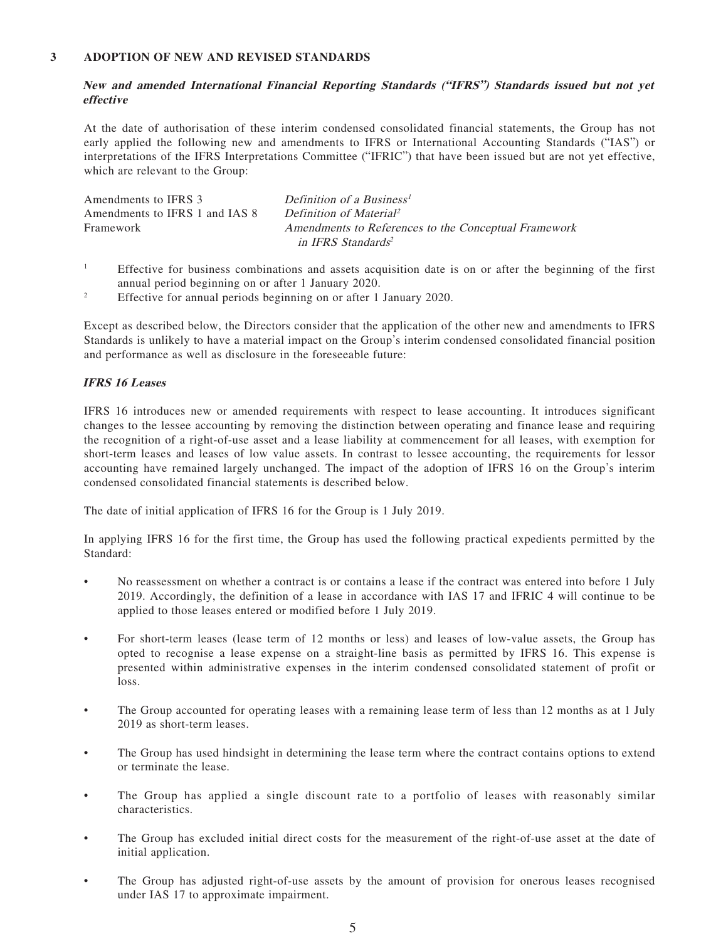### **3 ADOPTION OF NEW AND REVISED STANDARDS**

### **New and amended International Financial Reporting Standards ("IFRS") Standards issued but not yet effective**

At the date of authorisation of these interim condensed consolidated financial statements, the Group has not early applied the following new and amendments to IFRS or International Accounting Standards ("IAS") or interpretations of the IFRS Interpretations Committee ("IFRIC") that have been issued but are not yet effective, which are relevant to the Group:

| Amendments to IFRS 3           | Definition of a Business <sup>1</sup>                |
|--------------------------------|------------------------------------------------------|
| Amendments to IFRS 1 and IAS 8 | Definition of Material <sup>2</sup>                  |
| Framework                      | Amendments to References to the Conceptual Framework |
|                                | in IFRS Standards <sup>2</sup>                       |

- 1 Effective for business combinations and assets acquisition date is on or after the beginning of the first annual period beginning on or after 1 January 2020.
- 2 Effective for annual periods beginning on or after 1 January 2020.

Except as described below, the Directors consider that the application of the other new and amendments to IFRS Standards is unlikely to have a material impact on the Group's interim condensed consolidated financial position and performance as well as disclosure in the foreseeable future:

### **IFRS 16 Leases**

IFRS 16 introduces new or amended requirements with respect to lease accounting. It introduces significant changes to the lessee accounting by removing the distinction between operating and finance lease and requiring the recognition of a right-of-use asset and a lease liability at commencement for all leases, with exemption for short-term leases and leases of low value assets. In contrast to lessee accounting, the requirements for lessor accounting have remained largely unchanged. The impact of the adoption of IFRS 16 on the Group's interim condensed consolidated financial statements is described below.

The date of initial application of IFRS 16 for the Group is 1 July 2019.

In applying IFRS 16 for the first time, the Group has used the following practical expedients permitted by the Standard:

- No reassessment on whether a contract is or contains a lease if the contract was entered into before 1 July 2019. Accordingly, the definition of a lease in accordance with IAS 17 and IFRIC 4 will continue to be applied to those leases entered or modified before 1 July 2019.
- For short-term leases (lease term of 12 months or less) and leases of low-value assets, the Group has opted to recognise a lease expense on a straight-line basis as permitted by IFRS 16. This expense is presented within administrative expenses in the interim condensed consolidated statement of profit or loss.
- The Group accounted for operating leases with a remaining lease term of less than 12 months as at 1 July 2019 as short-term leases.
- The Group has used hindsight in determining the lease term where the contract contains options to extend or terminate the lease.
- The Group has applied a single discount rate to a portfolio of leases with reasonably similar characteristics.
- The Group has excluded initial direct costs for the measurement of the right-of-use asset at the date of initial application.
- The Group has adjusted right-of-use assets by the amount of provision for onerous leases recognised under IAS 17 to approximate impairment.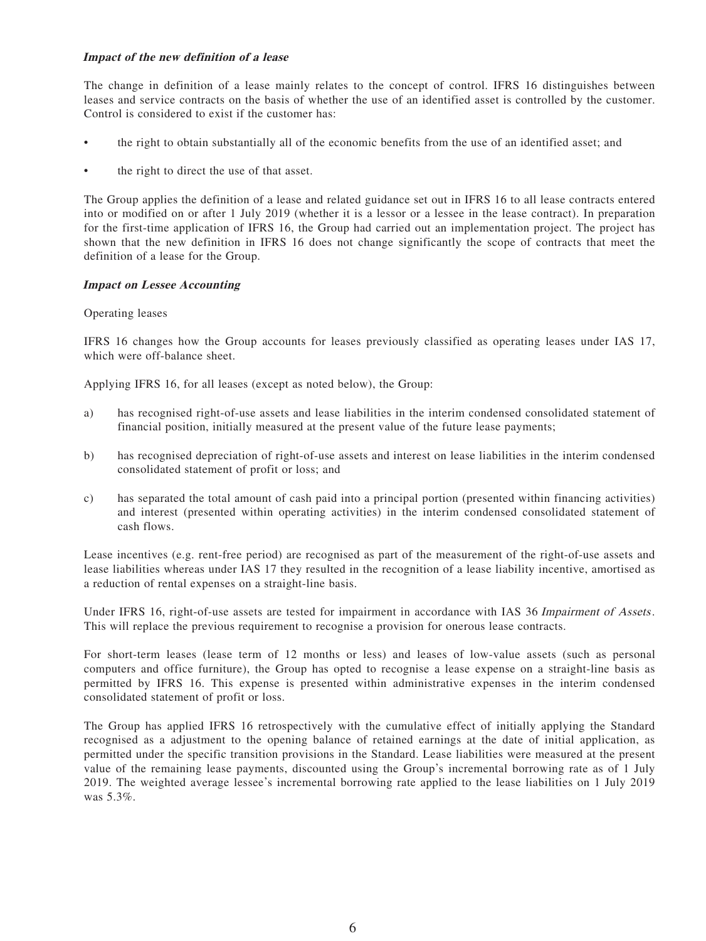#### **Impact of the new definition of a lease**

The change in definition of a lease mainly relates to the concept of control. IFRS 16 distinguishes between leases and service contracts on the basis of whether the use of an identified asset is controlled by the customer. Control is considered to exist if the customer has:

- the right to obtain substantially all of the economic benefits from the use of an identified asset; and
- the right to direct the use of that asset.

The Group applies the definition of a lease and related guidance set out in IFRS 16 to all lease contracts entered into or modified on or after 1 July 2019 (whether it is a lessor or a lessee in the lease contract). In preparation for the first-time application of IFRS 16, the Group had carried out an implementation project. The project has shown that the new definition in IFRS 16 does not change significantly the scope of contracts that meet the definition of a lease for the Group.

### **Impact on Lessee Accounting**

### Operating leases

IFRS 16 changes how the Group accounts for leases previously classified as operating leases under IAS 17, which were off-balance sheet.

Applying IFRS 16, for all leases (except as noted below), the Group:

- a) has recognised right-of-use assets and lease liabilities in the interim condensed consolidated statement of financial position, initially measured at the present value of the future lease payments;
- b) has recognised depreciation of right-of-use assets and interest on lease liabilities in the interim condensed consolidated statement of profit or loss; and
- c) has separated the total amount of cash paid into a principal portion (presented within financing activities) and interest (presented within operating activities) in the interim condensed consolidated statement of cash flows.

Lease incentives (e.g. rent-free period) are recognised as part of the measurement of the right-of-use assets and lease liabilities whereas under IAS 17 they resulted in the recognition of a lease liability incentive, amortised as a reduction of rental expenses on a straight-line basis.

Under IFRS 16, right-of-use assets are tested for impairment in accordance with IAS 36 Impairment of Assets. This will replace the previous requirement to recognise a provision for onerous lease contracts.

For short-term leases (lease term of 12 months or less) and leases of low-value assets (such as personal computers and office furniture), the Group has opted to recognise a lease expense on a straight-line basis as permitted by IFRS 16. This expense is presented within administrative expenses in the interim condensed consolidated statement of profit or loss.

The Group has applied IFRS 16 retrospectively with the cumulative effect of initially applying the Standard recognised as a adjustment to the opening balance of retained earnings at the date of initial application, as permitted under the specific transition provisions in the Standard. Lease liabilities were measured at the present value of the remaining lease payments, discounted using the Group's incremental borrowing rate as of 1 July 2019. The weighted average lessee's incremental borrowing rate applied to the lease liabilities on 1 July 2019 was 5.3%.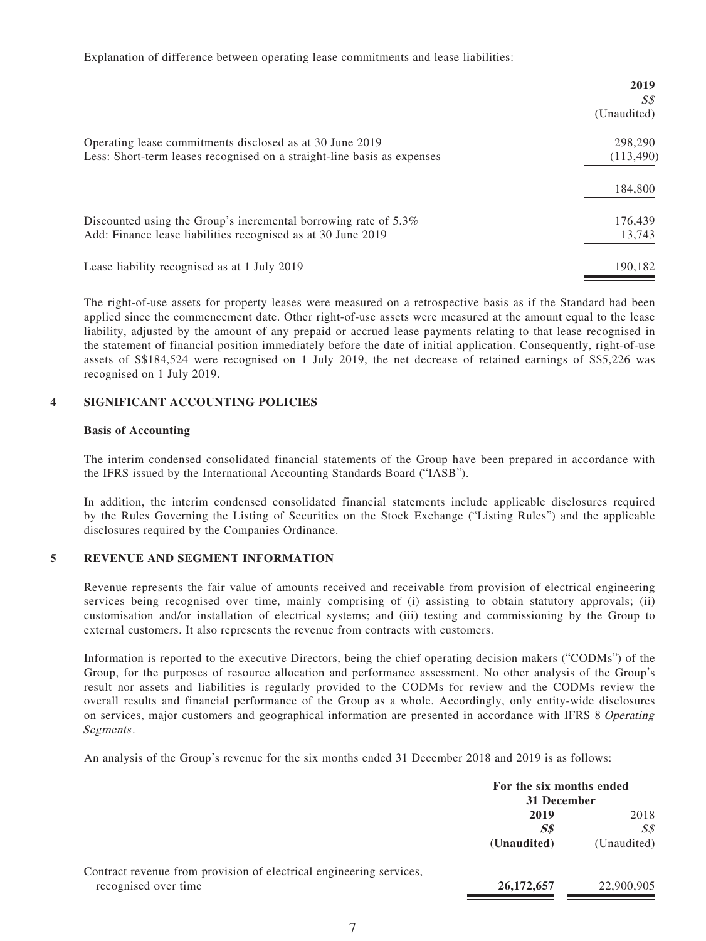Explanation of difference between operating lease commitments and lease liabilities:

|                                                                         | 2019<br>S\$ |
|-------------------------------------------------------------------------|-------------|
|                                                                         | (Unaudited) |
| Operating lease commitments disclosed as at 30 June 2019                | 298,290     |
| Less: Short-term leases recognised on a straight-line basis as expenses | (113, 490)  |
|                                                                         | 184,800     |
| Discounted using the Group's incremental borrowing rate of 5.3%         | 176,439     |
| Add: Finance lease liabilities recognised as at 30 June 2019            | 13,743      |
| Lease liability recognised as at 1 July 2019                            | 190,182     |

The right-of-use assets for property leases were measured on a retrospective basis as if the Standard had been applied since the commencement date. Other right-of-use assets were measured at the amount equal to the lease liability, adjusted by the amount of any prepaid or accrued lease payments relating to that lease recognised in the statement of financial position immediately before the date of initial application. Consequently, right-of-use assets of S\$184,524 were recognised on 1 July 2019, the net decrease of retained earnings of S\$5,226 was recognised on 1 July 2019.

#### **4 SIGNIFICANT ACCOUNTING POLICIES**

#### **Basis of Accounting**

The interim condensed consolidated financial statements of the Group have been prepared in accordance with the IFRS issued by the International Accounting Standards Board ("IASB").

In addition, the interim condensed consolidated financial statements include applicable disclosures required by the Rules Governing the Listing of Securities on the Stock Exchange ("Listing Rules") and the applicable disclosures required by the Companies Ordinance.

#### **5 REVENUE AND SEGMENT INFORMATION**

Revenue represents the fair value of amounts received and receivable from provision of electrical engineering services being recognised over time, mainly comprising of (i) assisting to obtain statutory approvals; (ii) customisation and/or installation of electrical systems; and (iii) testing and commissioning by the Group to external customers. It also represents the revenue from contracts with customers.

Information is reported to the executive Directors, being the chief operating decision makers ("CODMs") of the Group, for the purposes of resource allocation and performance assessment. No other analysis of the Group's result nor assets and liabilities is regularly provided to the CODMs for review and the CODMs review the overall results and financial performance of the Group as a whole. Accordingly, only entity-wide disclosures on services, major customers and geographical information are presented in accordance with IFRS 8 Operating Segments.

An analysis of the Group's revenue for the six months ended 31 December 2018 and 2019 is as follows:

|                                                                     | For the six months ended<br>31 December |             |
|---------------------------------------------------------------------|-----------------------------------------|-------------|
|                                                                     | 2019                                    |             |
|                                                                     | <b>S\$</b>                              | SS          |
|                                                                     | (Unaudited)                             | (Unaudited) |
| Contract revenue from provision of electrical engineering services, |                                         |             |
| recognised over time                                                | 26, 172, 657                            | 22,900,905  |
|                                                                     |                                         |             |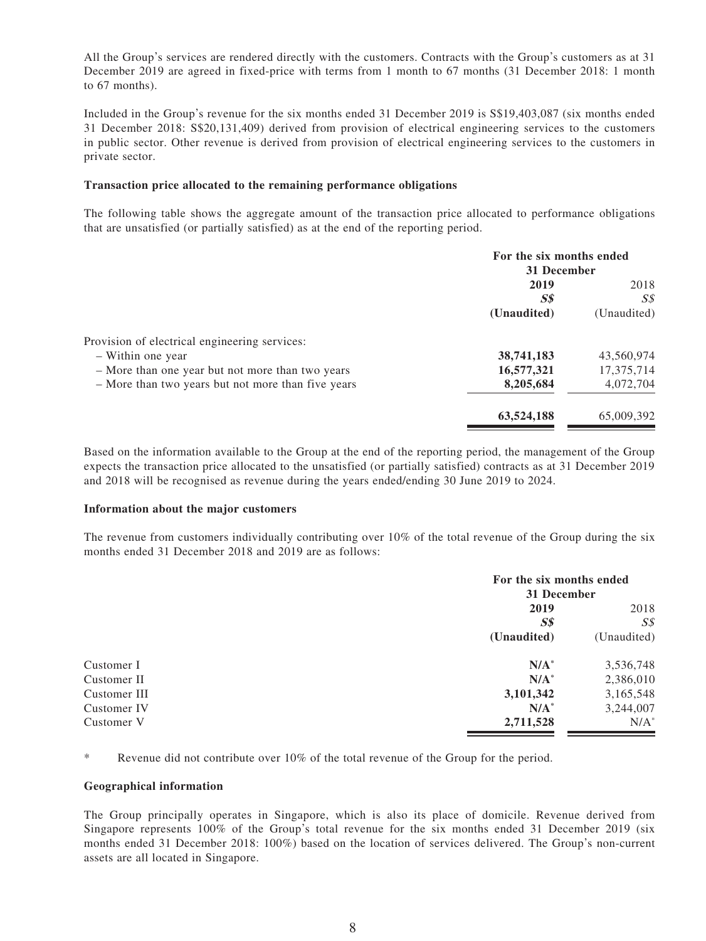All the Group's services are rendered directly with the customers. Contracts with the Group's customers as at 31 December 2019 are agreed in fixed-price with terms from 1 month to 67 months (31 December 2018: 1 month to 67 months).

Included in the Group's revenue for the six months ended 31 December 2019 is S\$19,403,087 (six months ended 31 December 2018: S\$20,131,409) derived from provision of electrical engineering services to the customers in public sector. Other revenue is derived from provision of electrical engineering services to the customers in private sector.

#### **Transaction price allocated to the remaining performance obligations**

The following table shows the aggregate amount of the transaction price allocated to performance obligations that are unsatisfied (or partially satisfied) as at the end of the reporting period.

|                                                    | For the six months ended<br>31 December |             |
|----------------------------------------------------|-----------------------------------------|-------------|
|                                                    |                                         |             |
|                                                    | 2019                                    | 2018        |
|                                                    | $\boldsymbol{S}\boldsymbol{S}$          | SS          |
|                                                    | (Unaudited)                             | (Unaudited) |
| Provision of electrical engineering services:      |                                         |             |
| - Within one year                                  | 38,741,183                              | 43,560,974  |
| - More than one year but not more than two years   | 16,577,321                              | 17,375,714  |
| - More than two years but not more than five years | 8,205,684                               | 4,072,704   |
|                                                    | 63,524,188                              | 65,009,392  |

Based on the information available to the Group at the end of the reporting period, the management of the Group expects the transaction price allocated to the unsatisfied (or partially satisfied) contracts as at 31 December 2019 and 2018 will be recognised as revenue during the years ended/ending 30 June 2019 to 2024.

#### **Information about the major customers**

The revenue from customers individually contributing over 10% of the total revenue of the Group during the six months ended 31 December 2018 and 2019 are as follows:

| For the six months ended<br>31 December |                        |
|-----------------------------------------|------------------------|
|                                         |                        |
|                                         | 2018<br>$S\mathcal{S}$ |
| (Unaudited)                             | (Unaudited)            |
| $N/A^*$                                 | 3,536,748              |
| $N/A^*$                                 | 2,386,010              |
| 3,101,342                               | 3,165,548              |
| $N/A^*$                                 | 3,244,007              |
| 2,711,528                               | $N/A^*$                |
|                                         | 2019<br>$S\$           |

Revenue did not contribute over  $10\%$  of the total revenue of the Group for the period.

#### **Geographical information**

The Group principally operates in Singapore, which is also its place of domicile. Revenue derived from Singapore represents 100% of the Group's total revenue for the six months ended 31 December 2019 (six months ended 31 December 2018: 100%) based on the location of services delivered. The Group's non-current assets are all located in Singapore.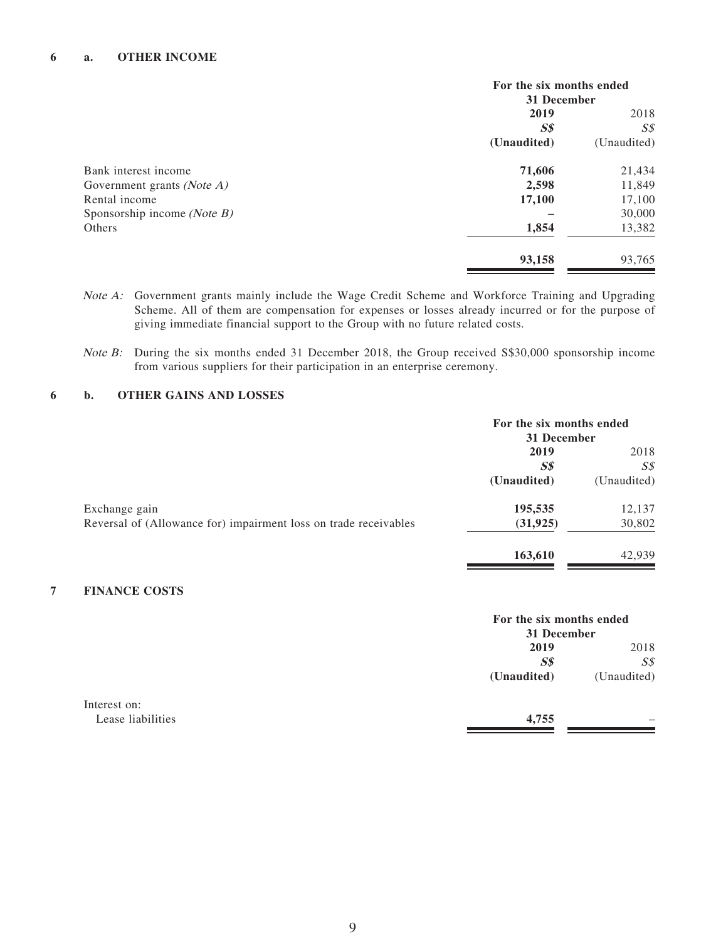#### **6 a. OTHER INCOME**

|                                      | For the six months ended<br>31 December |                |
|--------------------------------------|-----------------------------------------|----------------|
|                                      | 2019                                    | 2018           |
|                                      | $S\$                                    | $S\mathcal{S}$ |
|                                      | (Unaudited)                             | (Unaudited)    |
| Bank interest income                 | 71,606                                  | 21,434         |
| Government grants ( <i>Note A</i> )  | 2,598                                   | 11,849         |
| Rental income                        | 17,100                                  | 17,100         |
| Sponsorship income ( <i>Note B</i> ) |                                         | 30,000         |
| Others                               | 1,854                                   | 13,382         |
|                                      | 93,158                                  | 93,765         |

- Note A: Government grants mainly include the Wage Credit Scheme and Workforce Training and Upgrading Scheme. All of them are compensation for expenses or losses already incurred or for the purpose of giving immediate financial support to the Group with no future related costs.
- Note B: During the six months ended 31 December 2018, the Group received S\$30,000 sponsorship income from various suppliers for their participation in an enterprise ceremony.

### **6 b. OTHER GAINS AND LOSSES**

|                                                                  | For the six months ended<br>31 December |             |
|------------------------------------------------------------------|-----------------------------------------|-------------|
|                                                                  | 2019                                    | 2018        |
|                                                                  | $S\$                                    | SS          |
|                                                                  | (Unaudited)                             | (Unaudited) |
| Exchange gain                                                    | 195,535                                 | 12,137      |
| Reversal of (Allowance for) impairment loss on trade receivables | (31, 925)                               | 30,802      |
|                                                                  | 163,610                                 | 42.939      |

### **7 FINANCE COSTS**

|                   |             | For the six months ended<br>31 December |  |
|-------------------|-------------|-----------------------------------------|--|
|                   | 2019        | 2018                                    |  |
|                   | $S\$        | $S\mathcal{S}$                          |  |
|                   | (Unaudited) | (Unaudited)                             |  |
| Interest on:      |             |                                         |  |
| Lease liabilities | 4,755       | -                                       |  |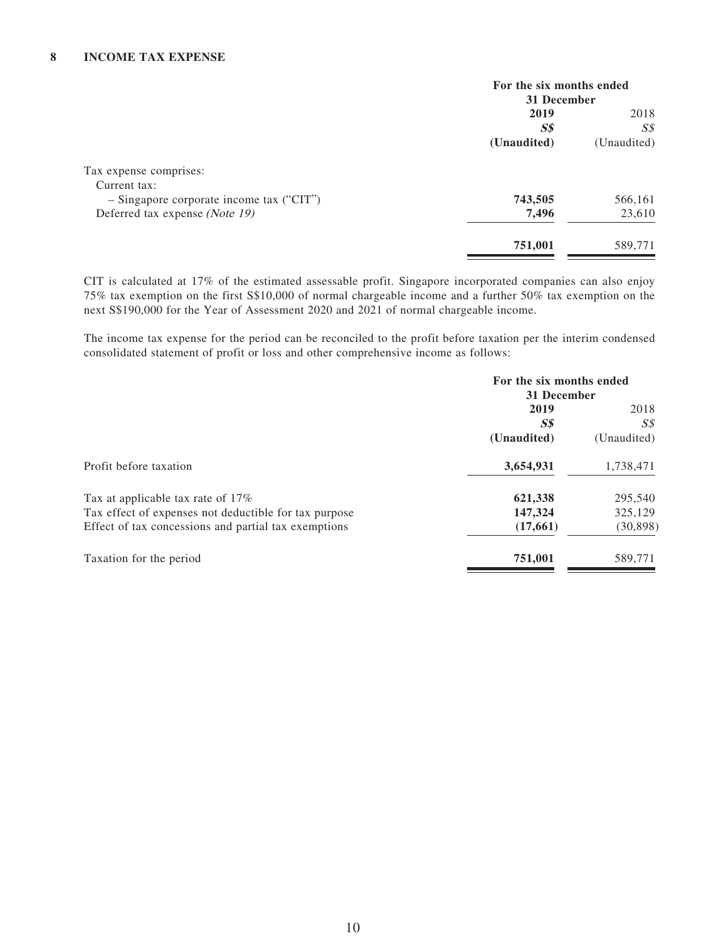|                                            | For the six months ended                 |             |
|--------------------------------------------|------------------------------------------|-------------|
|                                            | 31 December                              |             |
|                                            | 2019                                     | 2018        |
|                                            | $\boldsymbol{S}\boldsymbol{\mathcal{S}}$ | SS          |
|                                            | (Unaudited)                              | (Unaudited) |
| Tax expense comprises:                     |                                          |             |
| Current tax:                               |                                          |             |
| $-$ Singapore corporate income tax ("CIT") | 743,505                                  | 566,161     |
| Deferred tax expense (Note 19)             | 7,496                                    | 23,610      |
|                                            | 751,001                                  | 589,771     |
|                                            |                                          |             |

CIT is calculated at 17% of the estimated assessable profit. Singapore incorporated companies can also enjoy 75% tax exemption on the first S\$10,000 of normal chargeable income and a further 50% tax exemption on the next S\$190,000 for the Year of Assessment 2020 and 2021 of normal chargeable income.

The income tax expense for the period can be reconciled to the profit before taxation per the interim condensed consolidated statement of profit or loss and other comprehensive income as follows:

|                                                       | For the six months ended       |             |
|-------------------------------------------------------|--------------------------------|-------------|
|                                                       | 31 December                    |             |
|                                                       | 2019                           | 2018        |
|                                                       | $\boldsymbol{S}\boldsymbol{S}$ | SS          |
|                                                       | (Unaudited)                    | (Unaudited) |
| Profit before taxation                                | 3,654,931                      | 1,738,471   |
| Tax at applicable tax rate of 17%                     | 621,338                        | 295,540     |
| Tax effect of expenses not deductible for tax purpose | 147,324                        | 325,129     |
| Effect of tax concessions and partial tax exemptions  | (17,661)                       | (30, 898)   |
| Taxation for the period                               | 751,001                        | 589,771     |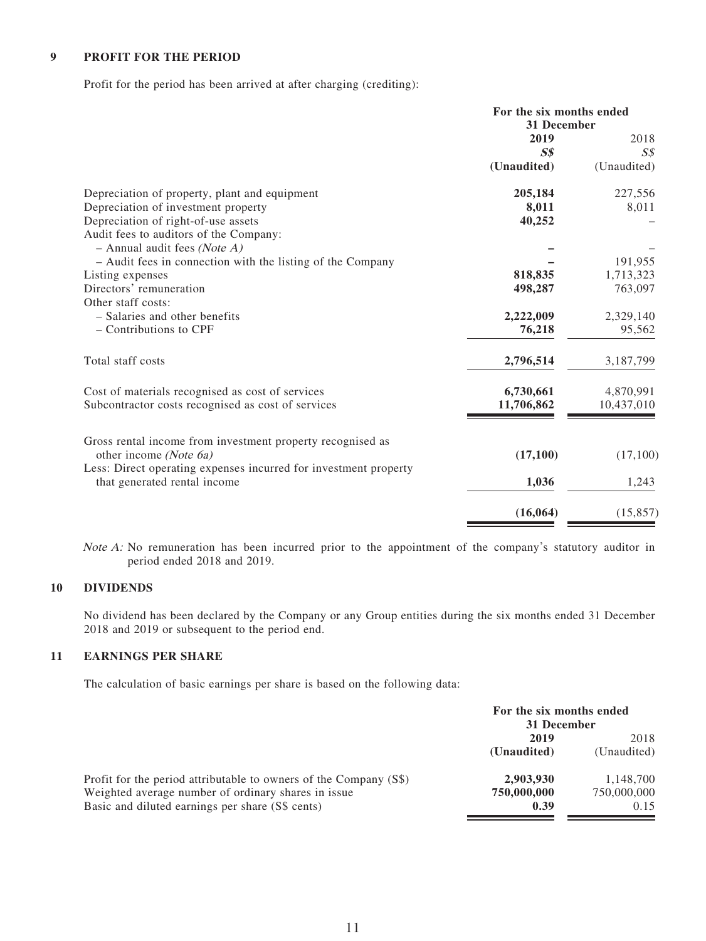#### **9 PROFIT FOR THE PERIOD**

Profit for the period has been arrived at after charging (crediting):

| For the six months ended |                        |
|--------------------------|------------------------|
| 31 December              |                        |
| 2019                     | 2018                   |
| S <sub>s</sub>           | $S\mathcal{S}$         |
| (Unaudited)              | (Unaudited)            |
| 205,184                  | 227,556                |
| 8,011                    | 8,011                  |
| 40,252                   |                        |
|                          |                        |
|                          |                        |
|                          | 191,955                |
| 818,835                  | 1,713,323              |
| 498,287                  | 763,097                |
|                          |                        |
| 2,222,009                | 2,329,140              |
| 76,218                   | 95,562                 |
| 2,796,514                | 3,187,799              |
|                          | 4,870,991              |
| 11,706,862               | 10,437,010             |
|                          |                        |
| (17,100)                 | (17,100)               |
|                          |                        |
| 1,036                    | 1,243                  |
|                          | (15, 857)              |
|                          | 6,730,661<br>(16, 064) |

Note A: No remuneration has been incurred prior to the appointment of the company's statutory auditor in period ended 2018 and 2019.

### **10 DIVIDENDS**

No dividend has been declared by the Company or any Group entities during the six months ended 31 December 2018 and 2019 or subsequent to the period end.

### **11 EARNINGS PER SHARE**

The calculation of basic earnings per share is based on the following data:

|                                                                   | For the six months ended<br>31 December |             |
|-------------------------------------------------------------------|-----------------------------------------|-------------|
|                                                                   | 2019                                    | 2018        |
|                                                                   | (Unaudited)                             | (Unaudited) |
| Profit for the period attributable to owners of the Company (S\$) | 2,903,930                               | 1.148.700   |
| Weighted average number of ordinary shares in issue               | 750,000,000                             | 750,000,000 |
| Basic and diluted earnings per share (S\$ cents)                  | 0.39                                    | 0.15        |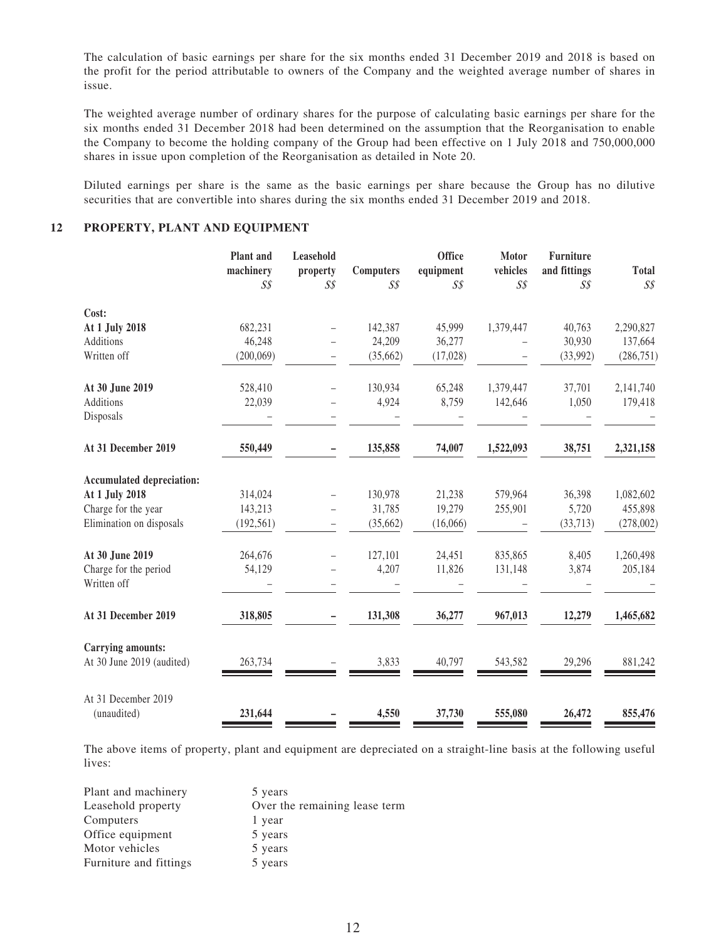The calculation of basic earnings per share for the six months ended 31 December 2019 and 2018 is based on the profit for the period attributable to owners of the Company and the weighted average number of shares in issue.

The weighted average number of ordinary shares for the purpose of calculating basic earnings per share for the six months ended 31 December 2018 had been determined on the assumption that the Reorganisation to enable the Company to become the holding company of the Group had been effective on 1 July 2018 and 750,000,000 shares in issue upon completion of the Reorganisation as detailed in Note 20.

Diluted earnings per share is the same as the basic earnings per share because the Group has no dilutive securities that are convertible into shares during the six months ended 31 December 2019 and 2018.

#### **12 PROPERTY, PLANT AND EQUIPMENT**

|                                  | Plant and<br>machinery<br>$S\mathcal{S}$ | Leasehold<br>property<br>$S\mathcal{S}$ | <b>Computers</b><br>$S\mathcal{S}$ | <b>Office</b><br>equipment<br>$S\mathcal{S}$ | <b>Motor</b><br>vehicles<br>$S\mathcal{S}$ | <b>Furniture</b><br>and fittings<br>$S\mathcal{S}$ | <b>Total</b><br>$S\mathcal{S}$ |
|----------------------------------|------------------------------------------|-----------------------------------------|------------------------------------|----------------------------------------------|--------------------------------------------|----------------------------------------------------|--------------------------------|
|                                  |                                          |                                         |                                    |                                              |                                            |                                                    |                                |
| Cost:                            |                                          |                                         |                                    |                                              |                                            |                                                    |                                |
| At 1 July 2018                   | 682,231                                  |                                         | 142,387                            | 45,999                                       | 1,379,447                                  | 40,763                                             | 2,290,827                      |
| Additions                        | 46,248                                   |                                         | 24,209                             | 36,277                                       |                                            | 30,930                                             | 137,664                        |
| Written off                      | (200,069)                                |                                         | (35,662)                           | (17, 028)                                    |                                            | (33,992)                                           | (286, 751)                     |
| At 30 June 2019                  | 528,410                                  |                                         | 130,934                            | 65,248                                       | 1,379,447                                  | 37,701                                             | 2,141,740                      |
| Additions                        | 22,039                                   |                                         | 4,924                              | 8,759                                        | 142,646                                    | 1,050                                              | 179,418                        |
| Disposals                        |                                          |                                         |                                    |                                              |                                            |                                                    |                                |
| At 31 December 2019              | 550,449                                  |                                         | 135,858                            | 74,007                                       | 1,522,093                                  | 38,751                                             | 2,321,158                      |
| <b>Accumulated depreciation:</b> |                                          |                                         |                                    |                                              |                                            |                                                    |                                |
| At 1 July 2018                   | 314,024                                  |                                         | 130,978                            | 21,238                                       | 579,964                                    | 36,398                                             | 1,082,602                      |
| Charge for the year              | 143,213                                  |                                         | 31,785                             | 19,279                                       | 255,901                                    | 5,720                                              | 455,898                        |
| Elimination on disposals         | (192, 561)                               |                                         | (35,662)                           | (16,066)                                     |                                            | (33,713)                                           | (278,002)                      |
| At 30 June 2019                  | 264,676                                  |                                         | 127,101                            | 24,451                                       | 835,865                                    | 8,405                                              | 1,260,498                      |
| Charge for the period            | 54,129                                   |                                         | 4,207                              | 11,826                                       | 131,148                                    | 3,874                                              | 205,184                        |
| Written off                      |                                          |                                         |                                    |                                              |                                            |                                                    |                                |
| At 31 December 2019              | 318,805                                  |                                         | 131,308                            | 36,277                                       | 967,013                                    | 12,279                                             | 1,465,682                      |
| <b>Carrying amounts:</b>         |                                          |                                         |                                    |                                              |                                            |                                                    |                                |
| At 30 June 2019 (audited)        | 263,734                                  |                                         | 3,833                              | 40,797                                       | 543,582                                    | 29,296                                             | 881,242                        |
| At 31 December 2019              |                                          |                                         |                                    |                                              |                                            |                                                    |                                |
| (unaudited)                      | 231,644                                  |                                         | 4,550                              | 37,730                                       | 555,080                                    | 26,472                                             | 855,476                        |

The above items of property, plant and equipment are depreciated on a straight-line basis at the following useful lives:

| Plant and machinery    | 5 years                       |
|------------------------|-------------------------------|
| Leasehold property     | Over the remaining lease term |
| Computers              | 1 year                        |
| Office equipment       | 5 years                       |
| Motor vehicles         | 5 years                       |
| Furniture and fittings | 5 years                       |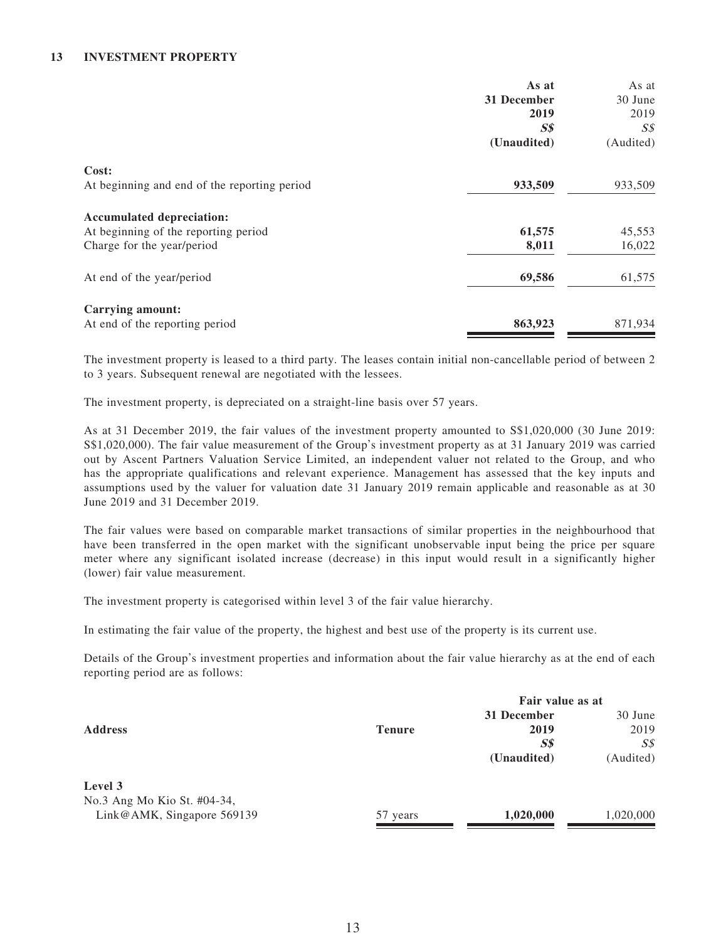#### **13 INVESTMENT PROPERTY**

|                                                                                                        | As at<br>31 December<br>2019<br>$\mathcal{S}\mathcal{S}$<br>(Unaudited) | As at<br>30 June<br>2019<br>S <sub>s</sub><br>(Audited) |
|--------------------------------------------------------------------------------------------------------|-------------------------------------------------------------------------|---------------------------------------------------------|
| Cost:<br>At beginning and end of the reporting period                                                  | 933,509                                                                 | 933,509                                                 |
| <b>Accumulated depreciation:</b><br>At beginning of the reporting period<br>Charge for the year/period | 61,575<br>8,011                                                         | 45,553<br>16,022                                        |
| At end of the year/period                                                                              | 69,586                                                                  | 61,575                                                  |
| <b>Carrying amount:</b><br>At end of the reporting period                                              | 863,923                                                                 | 871,934                                                 |

The investment property is leased to a third party. The leases contain initial non-cancellable period of between 2 to 3 years. Subsequent renewal are negotiated with the lessees.

The investment property, is depreciated on a straight-line basis over 57 years.

As at 31 December 2019, the fair values of the investment property amounted to S\$1,020,000 (30 June 2019: S\$1,020,000). The fair value measurement of the Group's investment property as at 31 January 2019 was carried out by Ascent Partners Valuation Service Limited, an independent valuer not related to the Group, and who has the appropriate qualifications and relevant experience. Management has assessed that the key inputs and assumptions used by the valuer for valuation date 31 January 2019 remain applicable and reasonable as at 30 June 2019 and 31 December 2019.

The fair values were based on comparable market transactions of similar properties in the neighbourhood that have been transferred in the open market with the significant unobservable input being the price per square meter where any significant isolated increase (decrease) in this input would result in a significantly higher (lower) fair value measurement.

The investment property is categorised within level 3 of the fair value hierarchy.

In estimating the fair value of the property, the highest and best use of the property is its current use.

Details of the Group's investment properties and information about the fair value hierarchy as at the end of each reporting period are as follows:

|                             |               | Fair value as at |           |
|-----------------------------|---------------|------------------|-----------|
|                             |               | 31 December      | 30 June   |
| <b>Address</b>              | <b>Tenure</b> | 2019             | 2019      |
|                             |               | S <sub>s</sub>   | SS        |
|                             |               | (Unaudited)      | (Audited) |
| Level 3                     |               |                  |           |
| No.3 Ang Mo Kio St. #04-34, |               |                  |           |
| Link@AMK, Singapore 569139  | 57 years      | 1,020,000        | 1,020,000 |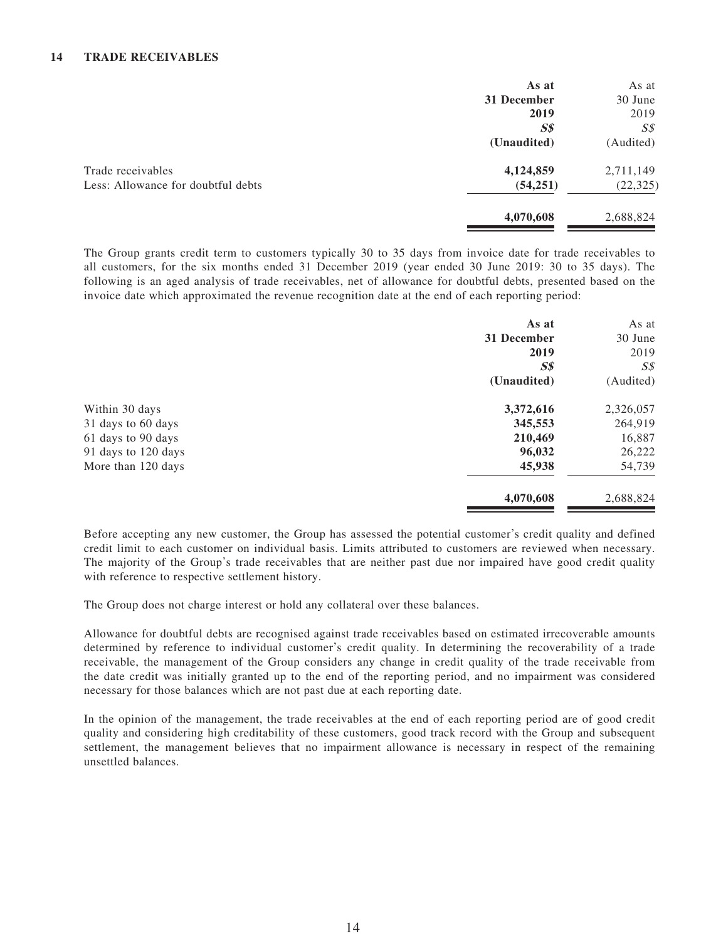|                                    | As at          | As at          |
|------------------------------------|----------------|----------------|
|                                    | 31 December    | 30 June        |
|                                    | 2019           | 2019           |
|                                    | S <sub>s</sub> | S <sub>s</sub> |
|                                    | (Unaudited)    | (Audited)      |
| Trade receivables                  | 4,124,859      | 2,711,149      |
| Less: Allowance for doubtful debts | (54, 251)      | (22, 325)      |
|                                    | 4,070,608      | 2,688,824      |

The Group grants credit term to customers typically 30 to 35 days from invoice date for trade receivables to all customers, for the six months ended 31 December 2019 (year ended 30 June 2019: 30 to 35 days). The following is an aged analysis of trade receivables, net of allowance for doubtful debts, presented based on the invoice date which approximated the revenue recognition date at the end of each reporting period:

|                     | As at<br>31 December<br>2019<br>S <sub>s</sub> | As at<br>30 June<br>2019<br>$S\mathcal{S}$ |
|---------------------|------------------------------------------------|--------------------------------------------|
|                     | (Unaudited)                                    | (Audited)                                  |
| Within 30 days      | 3,372,616                                      | 2,326,057                                  |
| 31 days to 60 days  | 345,553                                        | 264,919                                    |
| 61 days to 90 days  | 210,469                                        | 16,887                                     |
| 91 days to 120 days | 96,032                                         | 26,222                                     |
| More than 120 days  | 45,938                                         | 54,739                                     |
|                     | 4,070,608                                      | 2,688,824                                  |

Before accepting any new customer, the Group has assessed the potential customer's credit quality and defined credit limit to each customer on individual basis. Limits attributed to customers are reviewed when necessary. The majority of the Group's trade receivables that are neither past due nor impaired have good credit quality with reference to respective settlement history.

The Group does not charge interest or hold any collateral over these balances.

Allowance for doubtful debts are recognised against trade receivables based on estimated irrecoverable amounts determined by reference to individual customer's credit quality. In determining the recoverability of a trade receivable, the management of the Group considers any change in credit quality of the trade receivable from the date credit was initially granted up to the end of the reporting period, and no impairment was considered necessary for those balances which are not past due at each reporting date.

In the opinion of the management, the trade receivables at the end of each reporting period are of good credit quality and considering high creditability of these customers, good track record with the Group and subsequent settlement, the management believes that no impairment allowance is necessary in respect of the remaining unsettled balances.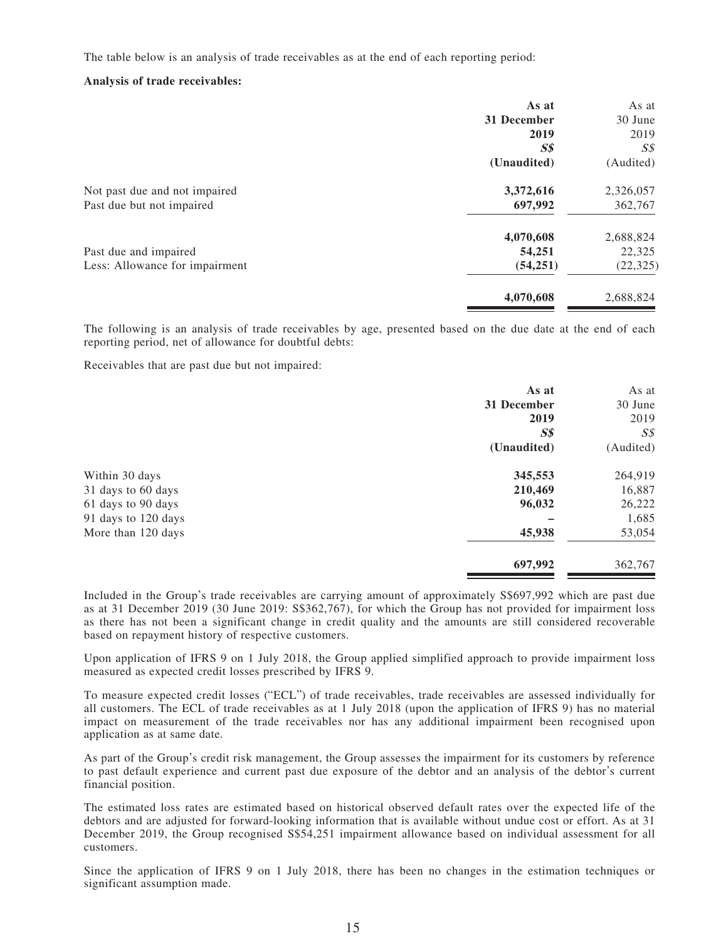The table below is an analysis of trade receivables as at the end of each reporting period:

#### **Analysis of trade receivables:**

|                                | As at          | As at          |
|--------------------------------|----------------|----------------|
|                                | 31 December    | 30 June        |
|                                | 2019           | 2019           |
|                                | S <sub>s</sub> | $S\mathcal{S}$ |
|                                | (Unaudited)    | (Audited)      |
| Not past due and not impaired  | 3,372,616      | 2,326,057      |
| Past due but not impaired      | 697,992        | 362,767        |
|                                | 4,070,608      | 2,688,824      |
| Past due and impaired          | 54,251         | 22,325         |
| Less: Allowance for impairment | (54, 251)      | (22, 325)      |
|                                | 4,070,608      | 2,688,824      |

The following is an analysis of trade receivables by age, presented based on the due date at the end of each reporting period, net of allowance for doubtful debts:

Receivables that are past due but not impaired:

|                     | As at          | As at          |
|---------------------|----------------|----------------|
|                     | 31 December    | 30 June        |
|                     | 2019           | 2019           |
|                     | S <sub>s</sub> | $S\mathcal{S}$ |
|                     | (Unaudited)    | (Audited)      |
| Within 30 days      | 345,553        | 264,919        |
| 31 days to 60 days  | 210,469        | 16,887         |
| 61 days to 90 days  | 96,032         | 26,222         |
| 91 days to 120 days |                | 1,685          |
| More than 120 days  | 45,938         | 53,054         |
|                     | 697,992        | 362,767        |

Included in the Group's trade receivables are carrying amount of approximately S\$697,992 which are past due as at 31 December 2019 (30 June 2019: S\$362,767), for which the Group has not provided for impairment loss as there has not been a significant change in credit quality and the amounts are still considered recoverable based on repayment history of respective customers.

Upon application of IFRS 9 on 1 July 2018, the Group applied simplified approach to provide impairment loss measured as expected credit losses prescribed by IFRS 9.

To measure expected credit losses ("ECL") of trade receivables, trade receivables are assessed individually for all customers. The ECL of trade receivables as at 1 July 2018 (upon the application of IFRS 9) has no material impact on measurement of the trade receivables nor has any additional impairment been recognised upon application as at same date.

As part of the Group's credit risk management, the Group assesses the impairment for its customers by reference to past default experience and current past due exposure of the debtor and an analysis of the debtor's current financial position.

The estimated loss rates are estimated based on historical observed default rates over the expected life of the debtors and are adjusted for forward-looking information that is available without undue cost or effort. As at 31 December 2019, the Group recognised S\$54,251 impairment allowance based on individual assessment for all customers.

Since the application of IFRS 9 on 1 July 2018, there has been no changes in the estimation techniques or significant assumption made.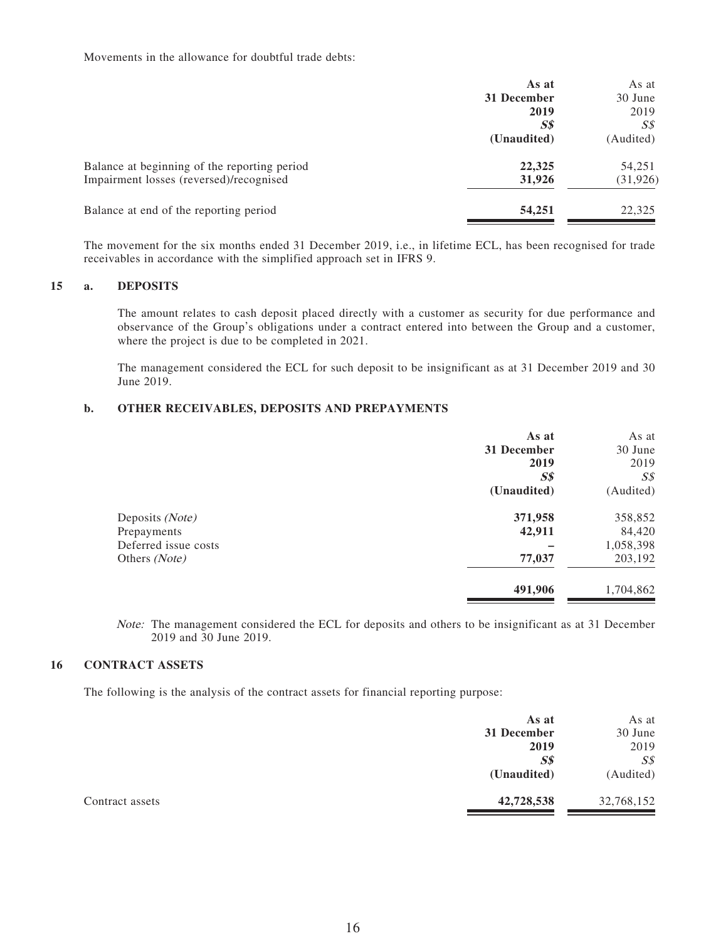Movements in the allowance for doubtful trade debts:

|                                              | As at          | As at     |
|----------------------------------------------|----------------|-----------|
|                                              | 31 December    | 30 June   |
|                                              | 2019           | 2019      |
|                                              | S <sub>s</sub> | S\$       |
|                                              | (Unaudited)    | (Audited) |
| Balance at beginning of the reporting period | 22,325         | 54,251    |
| Impairment losses (reversed)/recognised      | 31,926         | (31, 926) |
| Balance at end of the reporting period       | 54,251         | 22,325    |

The movement for the six months ended 31 December 2019, i.e., in lifetime ECL, has been recognised for trade receivables in accordance with the simplified approach set in IFRS 9.

### **15 a. DEPOSITS**

The amount relates to cash deposit placed directly with a customer as security for due performance and observance of the Group's obligations under a contract entered into between the Group and a customer, where the project is due to be completed in 2021.

The management considered the ECL for such deposit to be insignificant as at 31 December 2019 and 30 June 2019.

#### **b. OTHER RECEIVABLES, DEPOSITS AND PREPAYMENTS**

|                      | As at       | As at          |
|----------------------|-------------|----------------|
|                      | 31 December | 30 June        |
|                      | 2019        | 2019           |
|                      | $S\$        | $S\mathcal{S}$ |
|                      | (Unaudited) | (Audited)      |
| Deposits (Note)      | 371,958     | 358,852        |
| Prepayments          | 42,911      | 84,420         |
| Deferred issue costs |             | 1,058,398      |
| Others (Note)        | 77,037      | 203,192        |
|                      | 491,906     | 1,704,862      |
|                      |             |                |

Note: The management considered the ECL for deposits and others to be insignificant as at 31 December 2019 and 30 June 2019.

#### **16 CONTRACT ASSETS**

The following is the analysis of the contract assets for financial reporting purpose:

|                 | As at<br>31 December | As at<br>30 June |
|-----------------|----------------------|------------------|
|                 | 2019                 | 2019             |
|                 | $S\$                 | $S\mathcal{S}$   |
|                 | (Unaudited)          | (Audited)        |
| Contract assets | 42,728,538           | 32,768,152       |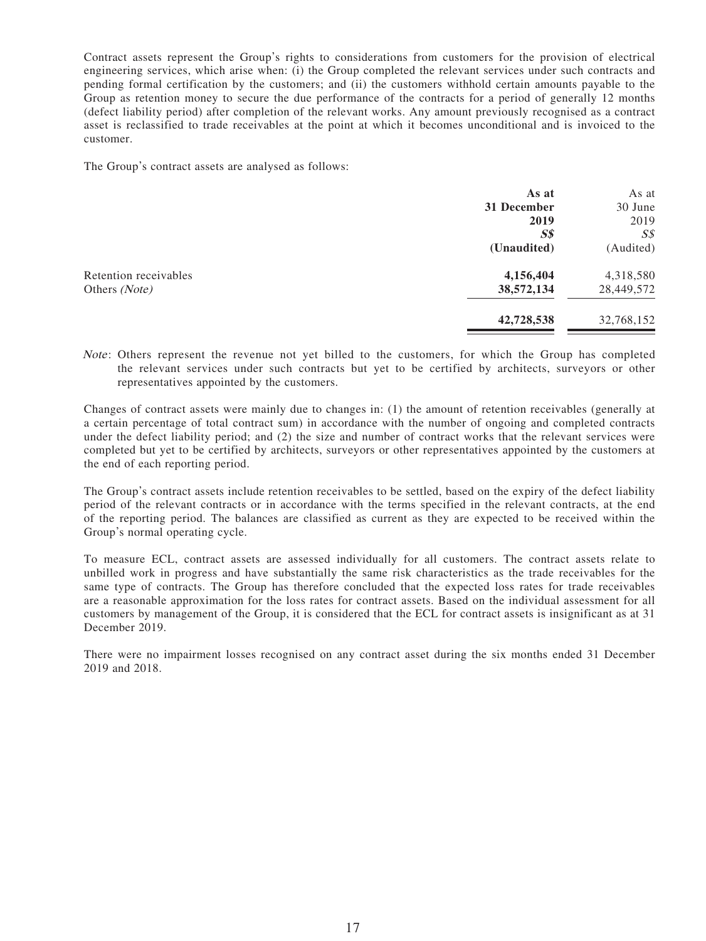Contract assets represent the Group's rights to considerations from customers for the provision of electrical engineering services, which arise when: (i) the Group completed the relevant services under such contracts and pending formal certification by the customers; and (ii) the customers withhold certain amounts payable to the Group as retention money to secure the due performance of the contracts for a period of generally 12 months (defect liability period) after completion of the relevant works. Any amount previously recognised as a contract asset is reclassified to trade receivables at the point at which it becomes unconditional and is invoiced to the customer.

The Group's contract assets are analysed as follows:

|                       | As at          | As at          |
|-----------------------|----------------|----------------|
|                       | 31 December    | 30 June        |
|                       | 2019           | 2019           |
|                       | S <sub>s</sub> | $S\mathcal{S}$ |
|                       | (Unaudited)    | (Audited)      |
| Retention receivables | 4,156,404      | 4,318,580      |
| Others (Note)         | 38,572,134     | 28,449,572     |
|                       | 42,728,538     | 32,768,152     |
|                       |                |                |

Note: Others represent the revenue not yet billed to the customers, for which the Group has completed the relevant services under such contracts but yet to be certified by architects, surveyors or other representatives appointed by the customers.

Changes of contract assets were mainly due to changes in: (1) the amount of retention receivables (generally at a certain percentage of total contract sum) in accordance with the number of ongoing and completed contracts under the defect liability period; and (2) the size and number of contract works that the relevant services were completed but yet to be certified by architects, surveyors or other representatives appointed by the customers at the end of each reporting period.

The Group's contract assets include retention receivables to be settled, based on the expiry of the defect liability period of the relevant contracts or in accordance with the terms specified in the relevant contracts, at the end of the reporting period. The balances are classified as current as they are expected to be received within the Group's normal operating cycle.

To measure ECL, contract assets are assessed individually for all customers. The contract assets relate to unbilled work in progress and have substantially the same risk characteristics as the trade receivables for the same type of contracts. The Group has therefore concluded that the expected loss rates for trade receivables are a reasonable approximation for the loss rates for contract assets. Based on the individual assessment for all customers by management of the Group, it is considered that the ECL for contract assets is insignificant as at 31 December 2019.

There were no impairment losses recognised on any contract asset during the six months ended 31 December 2019 and 2018.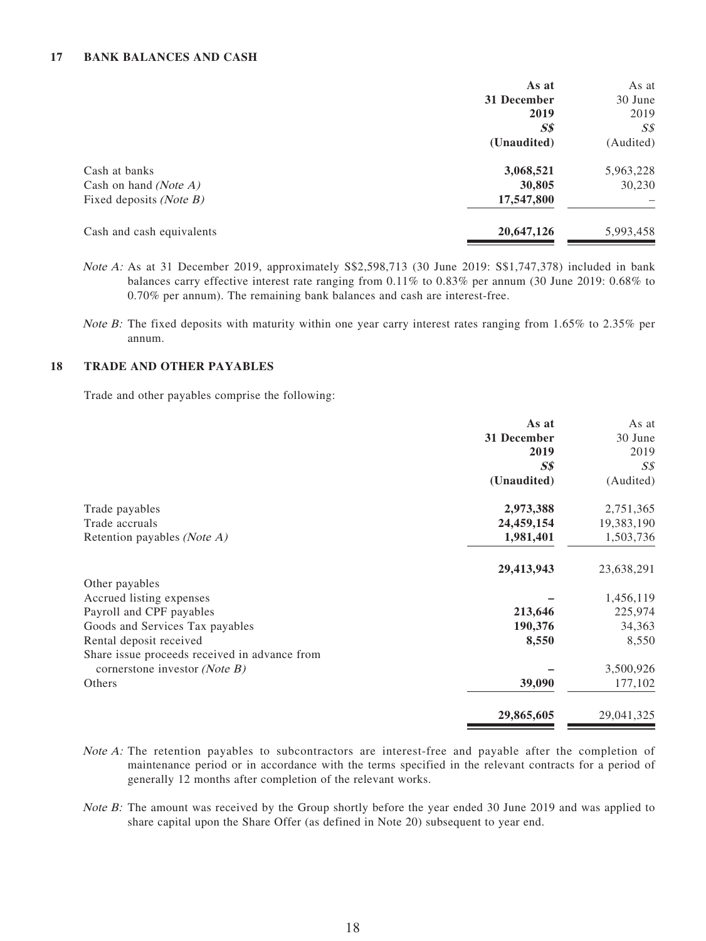| As at          | As at          |
|----------------|----------------|
| 31 December    | 30 June        |
| 2019           | 2019           |
| S <sub>s</sub> | $S\mathcal{S}$ |
| (Unaudited)    | (Audited)      |
| 3,068,521      | 5,963,228      |
| 30,805         | 30,230         |
| 17,547,800     |                |
| 20,647,126     | 5,993,458      |
|                |                |

Note A: As at 31 December 2019, approximately S\$2,598,713 (30 June 2019: S\$1,747,378) included in bank balances carry effective interest rate ranging from 0.11% to 0.83% per annum (30 June 2019: 0.68% to 0.70% per annum). The remaining bank balances and cash are interest-free.

Note B: The fixed deposits with maturity within one year carry interest rates ranging from 1.65% to 2.35% per annum.

#### **18 TRADE AND OTHER PAYABLES**

Trade and other payables comprise the following:

| As at                          | As at          |
|--------------------------------|----------------|
| 31 December                    | 30 June        |
| 2019                           | 2019           |
| $\boldsymbol{S}\boldsymbol{S}$ | S <sub>s</sub> |
| (Unaudited)                    | (Audited)      |
| 2,973,388                      | 2,751,365      |
| 24,459,154                     | 19,383,190     |
| 1,981,401                      | 1,503,736      |
| 29,413,943                     | 23,638,291     |
|                                |                |
|                                | 1,456,119      |
| 213,646                        | 225,974        |
| 190,376                        | 34,363         |
| 8,550                          | 8,550          |
|                                |                |
|                                | 3,500,926      |
| 39,090                         | 177,102        |
| 29,865,605                     | 29,041,325     |
|                                |                |

- Note A: The retention payables to subcontractors are interest-free and payable after the completion of maintenance period or in accordance with the terms specified in the relevant contracts for a period of generally 12 months after completion of the relevant works.
- Note B: The amount was received by the Group shortly before the year ended 30 June 2019 and was applied to share capital upon the Share Offer (as defined in Note 20) subsequent to year end.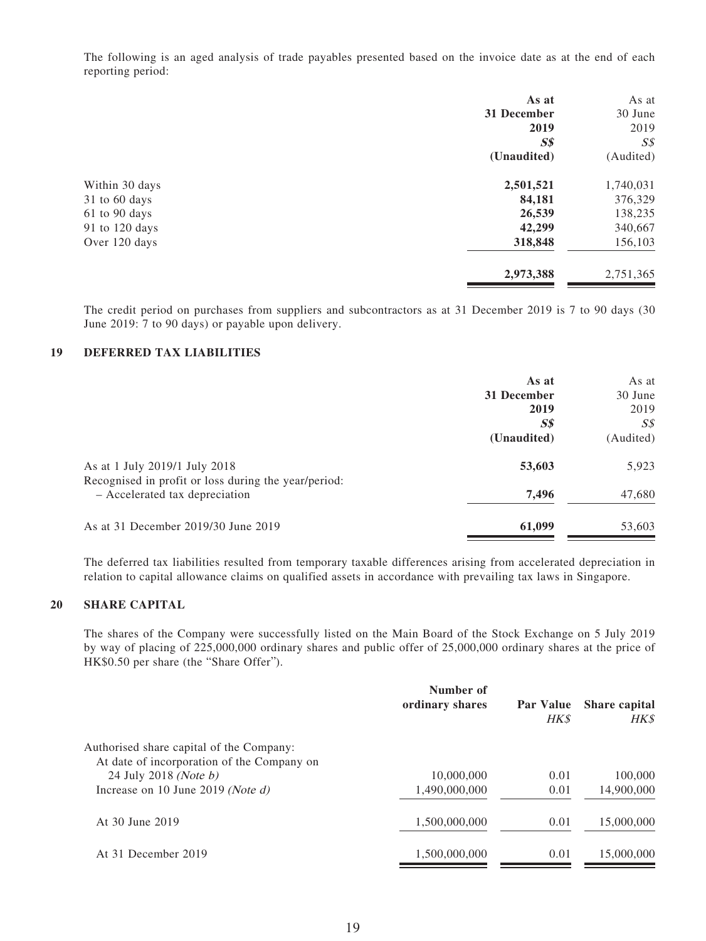The following is an aged analysis of trade payables presented based on the invoice date as at the end of each reporting period:

|                   | As at          | As at          |
|-------------------|----------------|----------------|
|                   | 31 December    | 30 June        |
|                   | 2019           | 2019           |
|                   | S <sub>s</sub> | $S\mathcal{S}$ |
|                   | (Unaudited)    | (Audited)      |
| Within 30 days    | 2,501,521      | 1,740,031      |
| 31 to 60 days     | 84,181         | 376,329        |
| $61$ to $90$ days | 26,539         | 138,235        |
| 91 to 120 days    | 42,299         | 340,667        |
| Over 120 days     | 318,848        | 156,103        |
|                   | 2,973,388      | 2,751,365      |
|                   |                |                |

The credit period on purchases from suppliers and subcontractors as at 31 December 2019 is 7 to 90 days (30 June 2019: 7 to 90 days) or payable upon delivery.

### **19 DEFERRED TAX LIABILITIES**

| As at                          | As at     |
|--------------------------------|-----------|
| 31 December                    | 30 June   |
| 2019                           | 2019      |
| $\boldsymbol{S}\boldsymbol{S}$ | SS        |
| (Unaudited)                    | (Audited) |
| 53,603                         | 5,923     |
| 7,496                          | 47,680    |
| 61,099                         | 53,603    |
|                                |           |

The deferred tax liabilities resulted from temporary taxable differences arising from accelerated depreciation in relation to capital allowance claims on qualified assets in accordance with prevailing tax laws in Singapore.

### **20 SHARE CAPITAL**

The shares of the Company were successfully listed on the Main Board of the Stock Exchange on 5 July 2019 by way of placing of 225,000,000 ordinary shares and public offer of 25,000,000 ordinary shares at the price of HK\$0.50 per share (the "Share Offer").

|                                            | Number of<br>ordinary shares | <b>Par Value</b><br>HK\$ | <b>Share capital</b><br><b>HK\$</b> |
|--------------------------------------------|------------------------------|--------------------------|-------------------------------------|
| Authorised share capital of the Company:   |                              |                          |                                     |
| At date of incorporation of the Company on |                              |                          |                                     |
| 24 July 2018 ( <i>Note b</i> )             | 10,000,000                   | 0.01                     | 100,000                             |
| Increase on 10 June 2019 (Note d)          | 1,490,000,000                | 0.01                     | 14,900,000                          |
| At 30 June 2019                            | 1,500,000,000                | 0.01                     | 15,000,000                          |
| At 31 December 2019                        | 1,500,000,000                | 0.01                     | 15,000,000                          |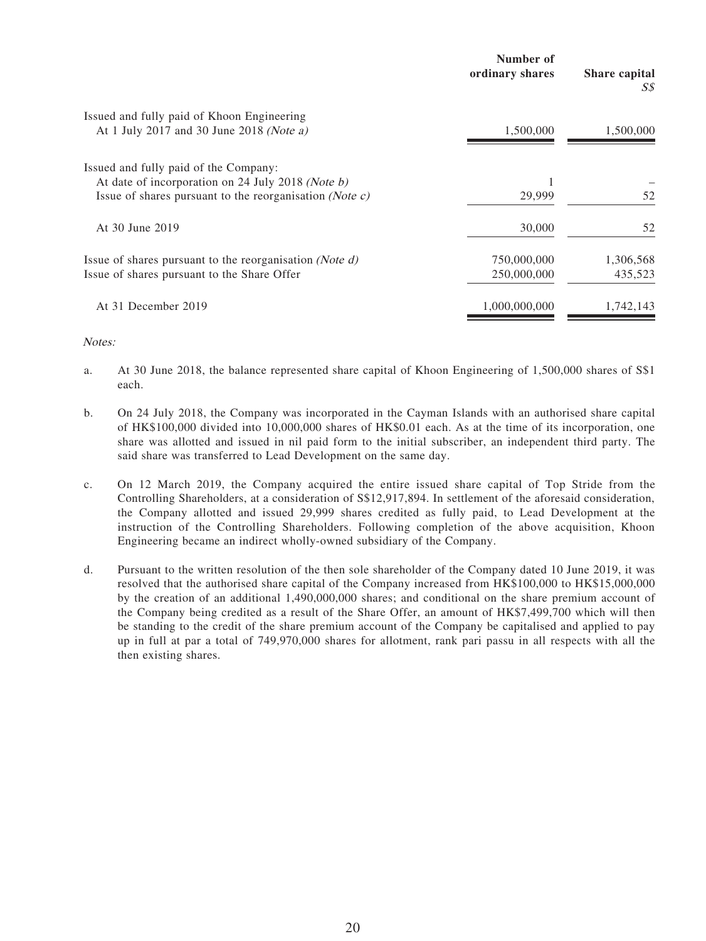|                                                                                                              | Number of<br>ordinary shares | <b>Share capital</b><br>S\$ |
|--------------------------------------------------------------------------------------------------------------|------------------------------|-----------------------------|
| Issued and fully paid of Khoon Engineering<br>At 1 July 2017 and 30 June 2018 (Note a)                       | 1,500,000                    | 1,500,000                   |
|                                                                                                              |                              |                             |
| Issued and fully paid of the Company:                                                                        |                              |                             |
| At date of incorporation on 24 July 2018 (Note b)<br>Issue of shares pursuant to the reorganisation (Note c) | 29,999                       | 52                          |
| At 30 June 2019                                                                                              | 30,000                       | 52                          |
| Issue of shares pursuant to the reorganisation ( <i>Note d</i> )                                             | 750,000,000                  | 1,306,568                   |
| Issue of shares pursuant to the Share Offer                                                                  | 250,000,000                  | 435,523                     |
| At 31 December 2019                                                                                          | 1,000,000,000                | 1,742,143                   |

Notes:

- a. At 30 June 2018, the balance represented share capital of Khoon Engineering of 1,500,000 shares of S\$1 each.
- b. On 24 July 2018, the Company was incorporated in the Cayman Islands with an authorised share capital of HK\$100,000 divided into 10,000,000 shares of HK\$0.01 each. As at the time of its incorporation, one share was allotted and issued in nil paid form to the initial subscriber, an independent third party. The said share was transferred to Lead Development on the same day.
- c. On 12 March 2019, the Company acquired the entire issued share capital of Top Stride from the Controlling Shareholders, at a consideration of S\$12,917,894. In settlement of the aforesaid consideration, the Company allotted and issued 29,999 shares credited as fully paid, to Lead Development at the instruction of the Controlling Shareholders. Following completion of the above acquisition, Khoon Engineering became an indirect wholly-owned subsidiary of the Company.
- d. Pursuant to the written resolution of the then sole shareholder of the Company dated 10 June 2019, it was resolved that the authorised share capital of the Company increased from HK\$100,000 to HK\$15,000,000 by the creation of an additional 1,490,000,000 shares; and conditional on the share premium account of the Company being credited as a result of the Share Offer, an amount of HK\$7,499,700 which will then be standing to the credit of the share premium account of the Company be capitalised and applied to pay up in full at par a total of 749,970,000 shares for allotment, rank pari passu in all respects with all the then existing shares.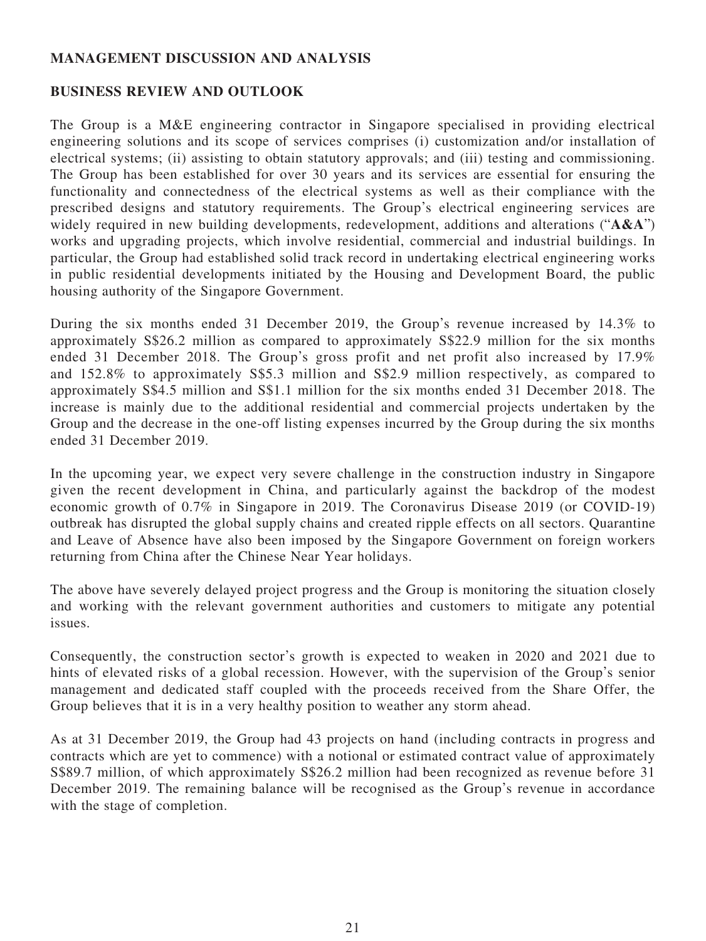# **MANAGEMENT DISCUSSION AND ANALYSIS**

## **BUSINESS REVIEW AND OUTLOOK**

The Group is a M&E engineering contractor in Singapore specialised in providing electrical engineering solutions and its scope of services comprises (i) customization and/or installation of electrical systems; (ii) assisting to obtain statutory approvals; and (iii) testing and commissioning. The Group has been established for over 30 years and its services are essential for ensuring the functionality and connectedness of the electrical systems as well as their compliance with the prescribed designs and statutory requirements. The Group's electrical engineering services are widely required in new building developments, redevelopment, additions and alterations ("**A&A**") works and upgrading projects, which involve residential, commercial and industrial buildings. In particular, the Group had established solid track record in undertaking electrical engineering works in public residential developments initiated by the Housing and Development Board, the public housing authority of the Singapore Government.

During the six months ended 31 December 2019, the Group's revenue increased by 14.3% to approximately S\$26.2 million as compared to approximately S\$22.9 million for the six months ended 31 December 2018. The Group's gross profit and net profit also increased by 17.9% and 152.8% to approximately S\$5.3 million and S\$2.9 million respectively, as compared to approximately S\$4.5 million and S\$1.1 million for the six months ended 31 December 2018. The increase is mainly due to the additional residential and commercial projects undertaken by the Group and the decrease in the one-off listing expenses incurred by the Group during the six months ended 31 December 2019.

In the upcoming year, we expect very severe challenge in the construction industry in Singapore given the recent development in China, and particularly against the backdrop of the modest economic growth of 0.7% in Singapore in 2019. The Coronavirus Disease 2019 (or COVID-19) outbreak has disrupted the global supply chains and created ripple effects on all sectors. Quarantine and Leave of Absence have also been imposed by the Singapore Government on foreign workers returning from China after the Chinese Near Year holidays.

The above have severely delayed project progress and the Group is monitoring the situation closely and working with the relevant government authorities and customers to mitigate any potential issues.

Consequently, the construction sector's growth is expected to weaken in 2020 and 2021 due to hints of elevated risks of a global recession. However, with the supervision of the Group's senior management and dedicated staff coupled with the proceeds received from the Share Offer, the Group believes that it is in a very healthy position to weather any storm ahead.

As at 31 December 2019, the Group had 43 projects on hand (including contracts in progress and contracts which are yet to commence) with a notional or estimated contract value of approximately S\$89.7 million, of which approximately S\$26.2 million had been recognized as revenue before 31 December 2019. The remaining balance will be recognised as the Group's revenue in accordance with the stage of completion.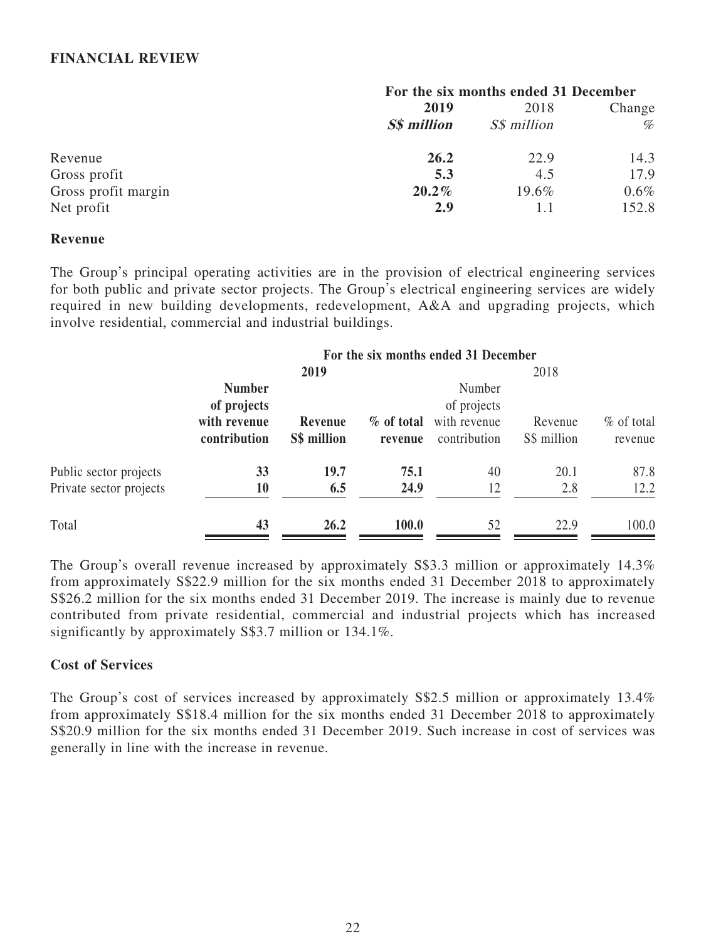## **FINANCIAL REVIEW**

| For the six months ended 31 December |             |        |  |
|--------------------------------------|-------------|--------|--|
| 2019                                 |             | Change |  |
| <b>S\$</b> million                   | S\$ million | %      |  |
| 26.2                                 | 22.9        | 14.3   |  |
| 5.3                                  | 4.5         | 17.9   |  |
| $20.2\%$                             | 19.6%       | 0.6%   |  |
| 2.9                                  |             | 152.8  |  |
|                                      |             | 2018   |  |

### **Revenue**

The Group's principal operating activities are in the provision of electrical engineering services for both public and private sector projects. The Group's electrical engineering services are widely required in new building developments, redevelopment, A&A and upgrading projects, which involve residential, commercial and industrial buildings.

|                         | For the six months ended 31 December                         |                        |                       |                                                       |                        |                          |
|-------------------------|--------------------------------------------------------------|------------------------|-----------------------|-------------------------------------------------------|------------------------|--------------------------|
|                         |                                                              | 2019                   |                       |                                                       |                        |                          |
|                         | <b>Number</b><br>of projects<br>with revenue<br>contribution | Revenue<br>S\$ million | % of total<br>revenue | Number<br>of projects<br>with revenue<br>contribution | Revenue<br>S\$ million | $\%$ of total<br>revenue |
| Public sector projects  | 33                                                           | 19.7                   | 75.1                  | 40                                                    | 20.1                   | 87.8                     |
| Private sector projects | 10                                                           | 6.5                    | 24.9                  | 12                                                    | 2.8                    | 12.2                     |
| Total                   | 43                                                           | 26.2                   | 100.0                 | 52                                                    | 22.9                   | 100.0                    |

The Group's overall revenue increased by approximately S\$3.3 million or approximately 14.3% from approximately S\$22.9 million for the six months ended 31 December 2018 to approximately S\$26.2 million for the six months ended 31 December 2019. The increase is mainly due to revenue contributed from private residential, commercial and industrial projects which has increased significantly by approximately S\$3.7 million or 134.1%.

## **Cost of Services**

The Group's cost of services increased by approximately S\$2.5 million or approximately 13.4% from approximately S\$18.4 million for the six months ended 31 December 2018 to approximately S\$20.9 million for the six months ended 31 December 2019. Such increase in cost of services was generally in line with the increase in revenue.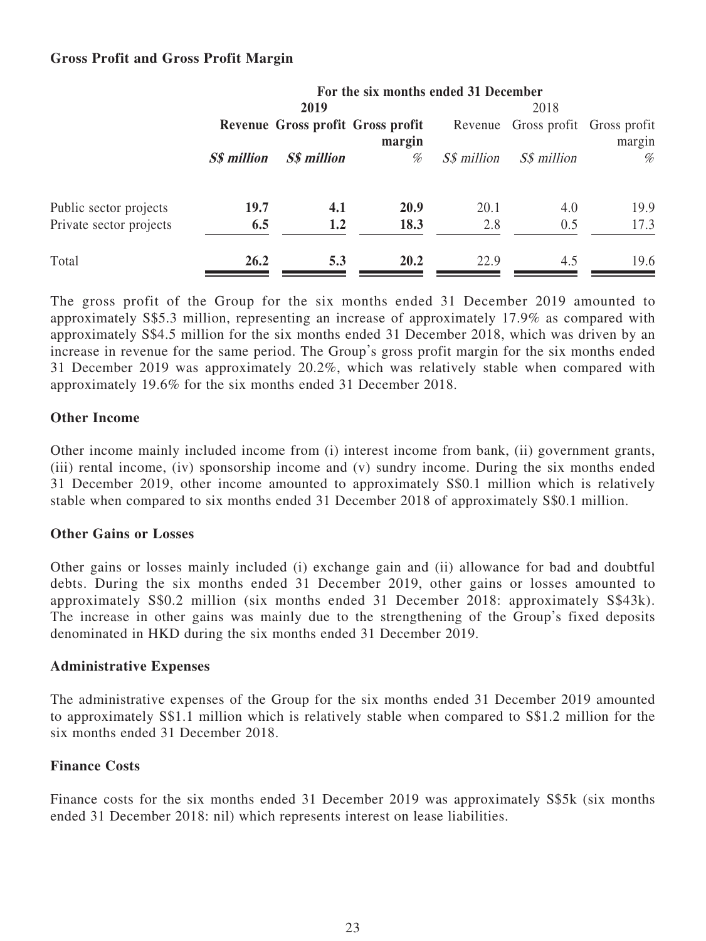## **Gross Profit and Gross Profit Margin**

|                         | For the six months ended 31 December |                    |        |                    |                                   |        |
|-------------------------|--------------------------------------|--------------------|--------|--------------------|-----------------------------------|--------|
|                         |                                      | 2019               |        | 2018               |                                   |        |
|                         | Revenue Gross profit Gross profit    |                    | margin |                    | Revenue Gross profit Gross profit | margin |
|                         | <b>S\$</b> million                   | <b>S\$</b> million | %      | <i>S\$ million</i> | S\$ million                       | %      |
| Public sector projects  | <b>19.7</b>                          | 4.1                | 20.9   | 20.1               | 4.0                               | 19.9   |
| Private sector projects | 6.5                                  | 1.2                | 18.3   | 2.8                | 0.5                               | 17.3   |
| Total                   | 26.2                                 | 5.3                | 20.2   | 22.9               | 4.5                               | 19.6   |

The gross profit of the Group for the six months ended 31 December 2019 amounted to approximately S\$5.3 million, representing an increase of approximately 17.9% as compared with approximately S\$4.5 million for the six months ended 31 December 2018, which was driven by an increase in revenue for the same period. The Group's gross profit margin for the six months ended 31 December 2019 was approximately 20.2%, which was relatively stable when compared with approximately 19.6% for the six months ended 31 December 2018.

## **Other Income**

Other income mainly included income from (i) interest income from bank, (ii) government grants, (iii) rental income, (iv) sponsorship income and (v) sundry income. During the six months ended 31 December 2019, other income amounted to approximately S\$0.1 million which is relatively stable when compared to six months ended 31 December 2018 of approximately S\$0.1 million.

## **Other Gains or Losses**

Other gains or losses mainly included (i) exchange gain and (ii) allowance for bad and doubtful debts. During the six months ended 31 December 2019, other gains or losses amounted to approximately S\$0.2 million (six months ended 31 December 2018: approximately S\$43k). The increase in other gains was mainly due to the strengthening of the Group's fixed deposits denominated in HKD during the six months ended 31 December 2019.

## **Administrative Expenses**

The administrative expenses of the Group for the six months ended 31 December 2019 amounted to approximately S\$1.1 million which is relatively stable when compared to S\$1.2 million for the six months ended 31 December 2018.

## **Finance Costs**

Finance costs for the six months ended 31 December 2019 was approximately S\$5k (six months ended 31 December 2018: nil) which represents interest on lease liabilities.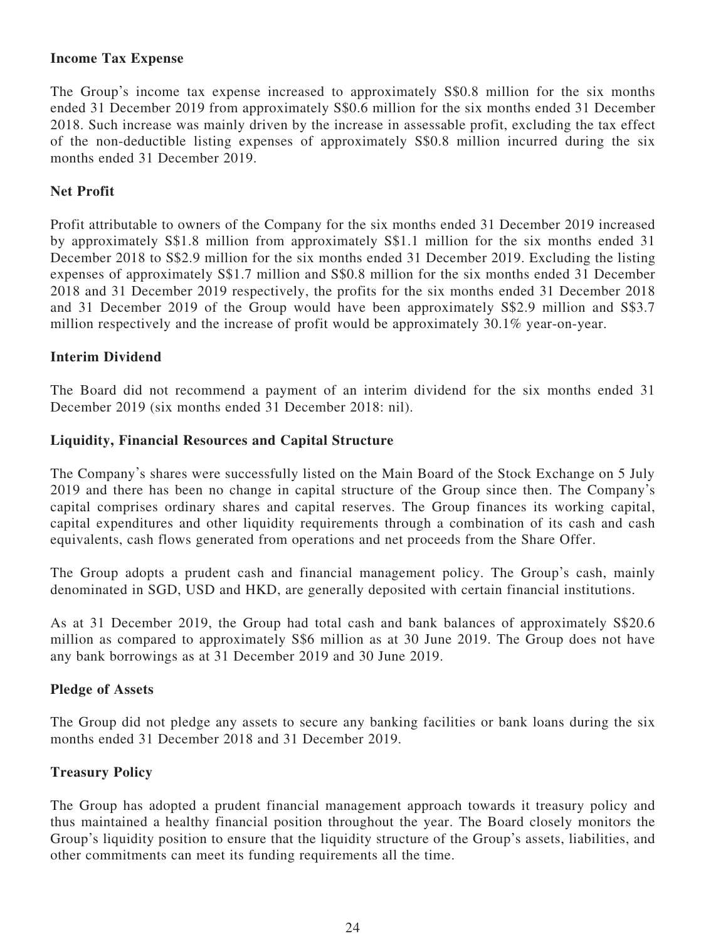# **Income Tax Expense**

The Group's income tax expense increased to approximately S\$0.8 million for the six months ended 31 December 2019 from approximately S\$0.6 million for the six months ended 31 December 2018. Such increase was mainly driven by the increase in assessable profit, excluding the tax effect of the non-deductible listing expenses of approximately S\$0.8 million incurred during the six months ended 31 December 2019.

# **Net Profit**

Profit attributable to owners of the Company for the six months ended 31 December 2019 increased by approximately S\$1.8 million from approximately S\$1.1 million for the six months ended 31 December 2018 to S\$2.9 million for the six months ended 31 December 2019. Excluding the listing expenses of approximately S\$1.7 million and S\$0.8 million for the six months ended 31 December 2018 and 31 December 2019 respectively, the profits for the six months ended 31 December 2018 and 31 December 2019 of the Group would have been approximately S\$2.9 million and S\$3.7 million respectively and the increase of profit would be approximately 30.1% year-on-year.

## **Interim Dividend**

The Board did not recommend a payment of an interim dividend for the six months ended 31 December 2019 (six months ended 31 December 2018: nil).

## **Liquidity, Financial Resources and Capital Structure**

The Company's shares were successfully listed on the Main Board of the Stock Exchange on 5 July 2019 and there has been no change in capital structure of the Group since then. The Company's capital comprises ordinary shares and capital reserves. The Group finances its working capital, capital expenditures and other liquidity requirements through a combination of its cash and cash equivalents, cash flows generated from operations and net proceeds from the Share Offer.

The Group adopts a prudent cash and financial management policy. The Group's cash, mainly denominated in SGD, USD and HKD, are generally deposited with certain financial institutions.

As at 31 December 2019, the Group had total cash and bank balances of approximately S\$20.6 million as compared to approximately S\$6 million as at 30 June 2019. The Group does not have any bank borrowings as at 31 December 2019 and 30 June 2019.

# **Pledge of Assets**

The Group did not pledge any assets to secure any banking facilities or bank loans during the six months ended 31 December 2018 and 31 December 2019.

# **Treasury Policy**

The Group has adopted a prudent financial management approach towards it treasury policy and thus maintained a healthy financial position throughout the year. The Board closely monitors the Group's liquidity position to ensure that the liquidity structure of the Group's assets, liabilities, and other commitments can meet its funding requirements all the time.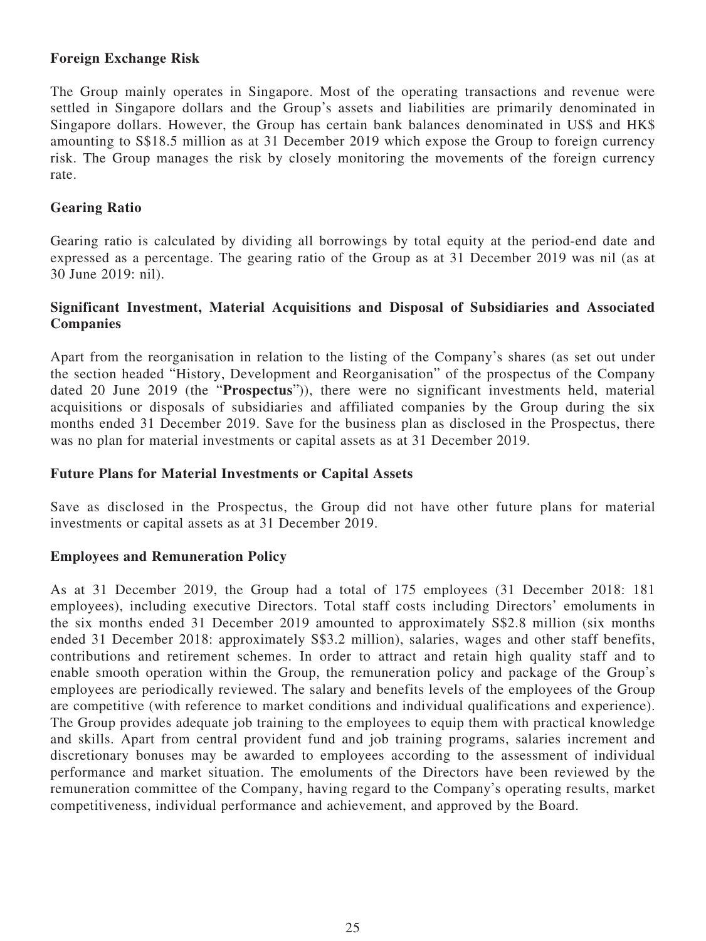# **Foreign Exchange Risk**

The Group mainly operates in Singapore. Most of the operating transactions and revenue were settled in Singapore dollars and the Group's assets and liabilities are primarily denominated in Singapore dollars. However, the Group has certain bank balances denominated in US\$ and HK\$ amounting to S\$18.5 million as at 31 December 2019 which expose the Group to foreign currency risk. The Group manages the risk by closely monitoring the movements of the foreign currency rate.

# **Gearing Ratio**

Gearing ratio is calculated by dividing all borrowings by total equity at the period-end date and expressed as a percentage. The gearing ratio of the Group as at 31 December 2019 was nil (as at 30 June 2019: nil).

# **Significant Investment, Material Acquisitions and Disposal of Subsidiaries and Associated Companies**

Apart from the reorganisation in relation to the listing of the Company's shares (as set out under the section headed "History, Development and Reorganisation" of the prospectus of the Company dated 20 June 2019 (the "**Prospectus**")), there were no significant investments held, material acquisitions or disposals of subsidiaries and affiliated companies by the Group during the six months ended 31 December 2019. Save for the business plan as disclosed in the Prospectus, there was no plan for material investments or capital assets as at 31 December 2019.

## **Future Plans for Material Investments or Capital Assets**

Save as disclosed in the Prospectus, the Group did not have other future plans for material investments or capital assets as at 31 December 2019.

## **Employees and Remuneration Policy**

As at 31 December 2019, the Group had a total of 175 employees (31 December 2018: 181 employees), including executive Directors. Total staff costs including Directors' emoluments in the six months ended 31 December 2019 amounted to approximately S\$2.8 million (six months ended 31 December 2018: approximately S\$3.2 million), salaries, wages and other staff benefits, contributions and retirement schemes. In order to attract and retain high quality staff and to enable smooth operation within the Group, the remuneration policy and package of the Group's employees are periodically reviewed. The salary and benefits levels of the employees of the Group are competitive (with reference to market conditions and individual qualifications and experience). The Group provides adequate job training to the employees to equip them with practical knowledge and skills. Apart from central provident fund and job training programs, salaries increment and discretionary bonuses may be awarded to employees according to the assessment of individual performance and market situation. The emoluments of the Directors have been reviewed by the remuneration committee of the Company, having regard to the Company's operating results, market competitiveness, individual performance and achievement, and approved by the Board.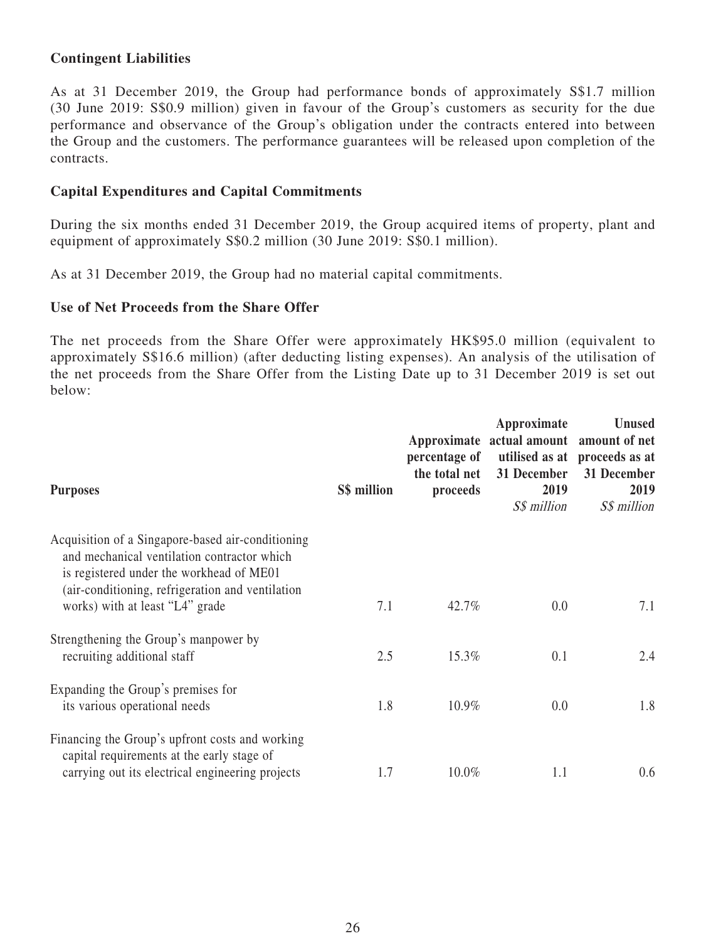# **Contingent Liabilities**

As at 31 December 2019, the Group had performance bonds of approximately S\$1.7 million (30 June 2019: S\$0.9 million) given in favour of the Group's customers as security for the due performance and observance of the Group's obligation under the contracts entered into between the Group and the customers. The performance guarantees will be released upon completion of the contracts.

## **Capital Expenditures and Capital Commitments**

During the six months ended 31 December 2019, the Group acquired items of property, plant and equipment of approximately S\$0.2 million (30 June 2019: S\$0.1 million).

As at 31 December 2019, the Group had no material capital commitments.

## **Use of Net Proceeds from the Share Offer**

The net proceeds from the Share Offer were approximately HK\$95.0 million (equivalent to approximately S\$16.6 million) (after deducting listing expenses). An analysis of the utilisation of the net proceeds from the Share Offer from the Listing Date up to 31 December 2019 is set out below:

| <b>Purposes</b>                                                                                                                                                                                                                     | S\$ million | percentage of<br>the total net<br>proceeds | Approximate<br>Approximate actual amount amount of net<br>31 December<br>2019<br>S\$ million | <b>Unused</b><br>utilised as at proceeds as at<br>31 December<br>2019<br>S\$ million |
|-------------------------------------------------------------------------------------------------------------------------------------------------------------------------------------------------------------------------------------|-------------|--------------------------------------------|----------------------------------------------------------------------------------------------|--------------------------------------------------------------------------------------|
| Acquisition of a Singapore-based air-conditioning<br>and mechanical ventilation contractor which<br>is registered under the workhead of ME01<br>(air-conditioning, refrigeration and ventilation<br>works) with at least "L4" grade | 7.1         | 42.7%                                      | 0.0                                                                                          | 7.1                                                                                  |
| Strengthening the Group's manpower by<br>recruiting additional staff                                                                                                                                                                | 2.5         | 15.3%                                      | 0.1                                                                                          | 2.4                                                                                  |
| Expanding the Group's premises for<br>its various operational needs                                                                                                                                                                 | 1.8         | 10.9%                                      | 0.0                                                                                          | 1.8                                                                                  |
| Financing the Group's upfront costs and working<br>capital requirements at the early stage of<br>carrying out its electrical engineering projects                                                                                   | 1.7         | 10.0%                                      | 1.1                                                                                          | 0.6                                                                                  |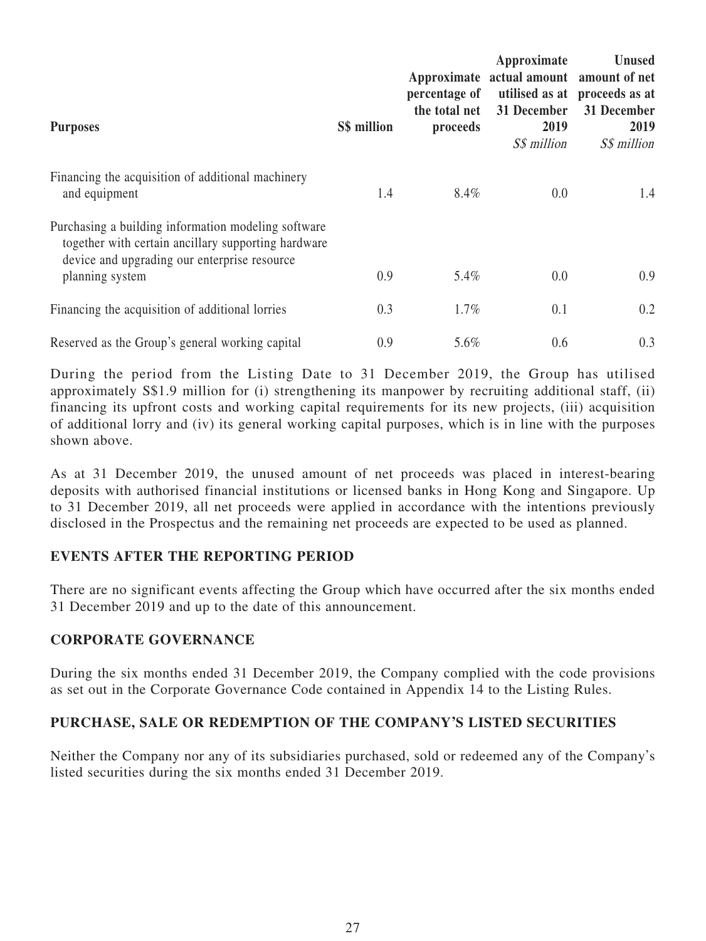| S\$ million | percentage of<br>proceeds | Approximate<br>31 December<br>2019<br>S\$ million | <b>Unused</b><br>utilised as at proceeds as at<br>31 December<br>2019<br>S\$ million |
|-------------|---------------------------|---------------------------------------------------|--------------------------------------------------------------------------------------|
| 1.4         | 8.4%                      | 0.0                                               | 1.4                                                                                  |
|             |                           |                                                   | 0.9                                                                                  |
|             |                           |                                                   | 0.2                                                                                  |
|             |                           |                                                   | 0.3                                                                                  |
|             | 0.9<br>0.3<br>0.9         | 5.4%<br>$1.7\%$<br>5.6%                           | Approximate actual amount amount of net<br>the total net<br>0.0<br>0.1<br>0.6        |

During the period from the Listing Date to 31 December 2019, the Group has utilised approximately S\$1.9 million for (i) strengthening its manpower by recruiting additional staff, (ii) financing its upfront costs and working capital requirements for its new projects, (iii) acquisition of additional lorry and (iv) its general working capital purposes, which is in line with the purposes shown above.

As at 31 December 2019, the unused amount of net proceeds was placed in interest-bearing deposits with authorised financial institutions or licensed banks in Hong Kong and Singapore. Up to 31 December 2019, all net proceeds were applied in accordance with the intentions previously disclosed in the Prospectus and the remaining net proceeds are expected to be used as planned.

# **EVENTS AFTER THE REPORTING PERIOD**

There are no significant events affecting the Group which have occurred after the six months ended 31 December 2019 and up to the date of this announcement.

# **CORPORATE GOVERNANCE**

During the six months ended 31 December 2019, the Company complied with the code provisions as set out in the Corporate Governance Code contained in Appendix 14 to the Listing Rules.

## **PURCHASE, SALE OR REDEMPTION OF THE COMPANY'S LISTED SECURITIES**

Neither the Company nor any of its subsidiaries purchased, sold or redeemed any of the Company's listed securities during the six months ended 31 December 2019.